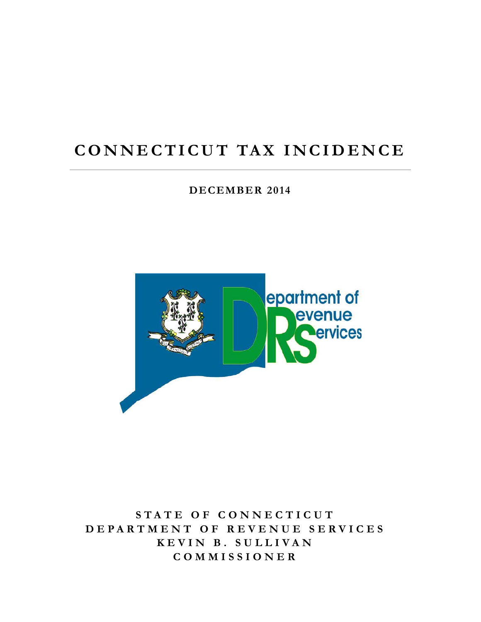## **CONNECTICUT TAX INCIDENCE**

**DECEMBER 2014** 



**STATE OF CONNECTICUT DEPARTMENT OF REVENUE SERVICES KEVIN B. SULLIVAN COMMISSIONER**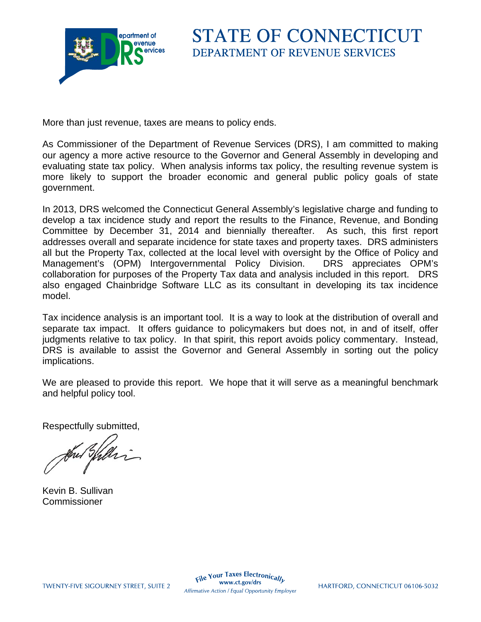

More than just revenue, taxes are means to policy ends.

As Commissioner of the Department of Revenue Services (DRS), I am committed to making our agency a more active resource to the Governor and General Assembly in developing and evaluating state tax policy. When analysis informs tax policy, the resulting revenue system is more likely to support the broader economic and general public policy goals of state government.

In 2013, DRS welcomed the Connecticut General Assembly's legislative charge and funding to develop a tax incidence study and report the results to the Finance, Revenue, and Bonding Committee by December 31, 2014 and biennially thereafter. As such, this first report addresses overall and separate incidence for state taxes and property taxes. DRS administers all but the Property Tax, collected at the local level with oversight by the Office of Policy and Management's (OPM) Intergovernmental Policy Division. DRS appreciates OPM's collaboration for purposes of the Property Tax data and analysis included in this report. DRS also engaged Chainbridge Software LLC as its consultant in developing its tax incidence model.

Tax incidence analysis is an important tool. It is a way to look at the distribution of overall and separate tax impact. It offers guidance to policymakers but does not, in and of itself, offer judgments relative to tax policy. In that spirit, this report avoids policy commentary. Instead, DRS is available to assist the Governor and General Assembly in sorting out the policy implications.

We are pleased to provide this report. We hope that it will serve as a meaningful benchmark and helpful policy tool.

Respectfully submitted,

Kevin B. Sullivan Commissioner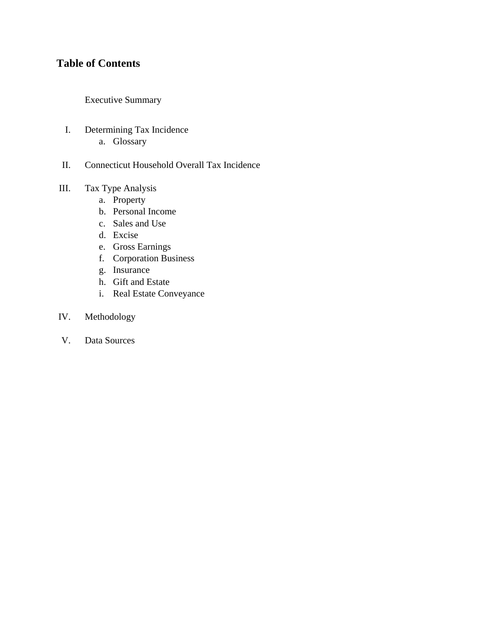### **Table of Contents**

Executive Summary

- I. Determining Tax Incidence a. Glossary
- II. Connecticut Household Overall Tax Incidence

### III. Tax Type Analysis

- a. Property
- b. Personal Income
- c. Sales and Use
- d. Excise
- e. Gross Earnings
- f. Corporation Business
- g. Insurance
- h. Gift and Estate
- i. Real Estate Conveyance

### IV. Methodology

V. Data Sources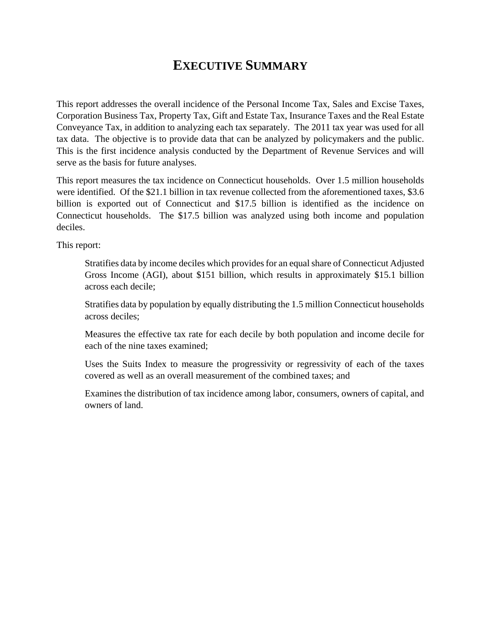### **EXECUTIVE SUMMARY**

This report addresses the overall incidence of the Personal Income Tax, Sales and Excise Taxes, Corporation Business Tax, Property Tax, Gift and Estate Tax, Insurance Taxes and the Real Estate Conveyance Tax, in addition to analyzing each tax separately. The 2011 tax year was used for all tax data. The objective is to provide data that can be analyzed by policymakers and the public. This is the first incidence analysis conducted by the Department of Revenue Services and will serve as the basis for future analyses.

This report measures the tax incidence on Connecticut households. Over 1.5 million households were identified. Of the \$21.1 billion in tax revenue collected from the aforementioned taxes, \$3.6 billion is exported out of Connecticut and \$17.5 billion is identified as the incidence on Connecticut households. The \$17.5 billion was analyzed using both income and population deciles.

This report:

Stratifies data by income deciles which provides for an equal share of Connecticut Adjusted Gross Income (AGI), about \$151 billion, which results in approximately \$15.1 billion across each decile;

Stratifies data by population by equally distributing the 1.5 million Connecticut households across deciles;

Measures the effective tax rate for each decile by both population and income decile for each of the nine taxes examined;

Uses the Suits Index to measure the progressivity or regressivity of each of the taxes covered as well as an overall measurement of the combined taxes; and

Examines the distribution of tax incidence among labor, consumers, owners of capital, and owners of land.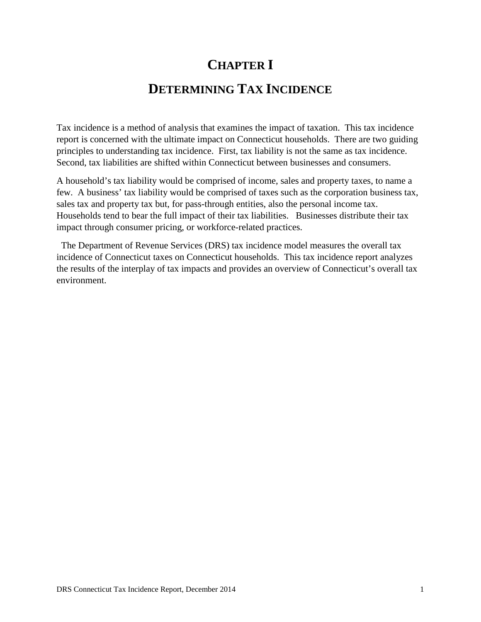# **CHAPTER I DETERMINING TAX INCIDENCE**

Tax incidence is a method of analysis that examines the impact of taxation. This tax incidence report is concerned with the ultimate impact on Connecticut households. There are two guiding principles to understanding tax incidence. First, tax liability is not the same as tax incidence. Second, tax liabilities are shifted within Connecticut between businesses and consumers.

A household's tax liability would be comprised of income, sales and property taxes, to name a few. A business' tax liability would be comprised of taxes such as the corporation business tax, sales tax and property tax but, for pass-through entities, also the personal income tax. Households tend to bear the full impact of their tax liabilities. Businesses distribute their tax impact through consumer pricing, or workforce-related practices.

 The Department of Revenue Services (DRS) tax incidence model measures the overall tax incidence of Connecticut taxes on Connecticut households. This tax incidence report analyzes the results of the interplay of tax impacts and provides an overview of Connecticut's overall tax environment.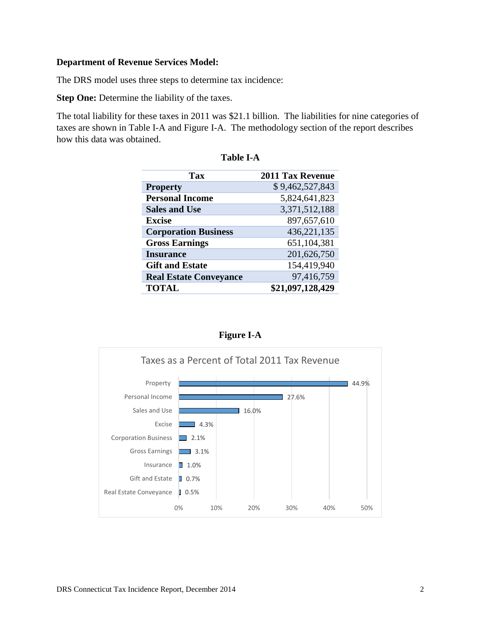#### **Department of Revenue Services Model:**

The DRS model uses three steps to determine tax incidence:

**Step One:** Determine the liability of the taxes.

The total liability for these taxes in 2011 was \$21.1 billion. The liabilities for nine categories of taxes are shown in Table I-A and Figure I-A. The methodology section of the report describes how this data was obtained.

| Tax                           | <b>2011 Tax Revenue</b> |
|-------------------------------|-------------------------|
| <b>Property</b>               | \$9,462,527,843         |
| <b>Personal Income</b>        | 5,824,641,823           |
| <b>Sales and Use</b>          | 3,371,512,188           |
| <b>Excise</b>                 | 897,657,610             |
| <b>Corporation Business</b>   | 436,221,135             |
| <b>Gross Earnings</b>         | 651,104,381             |
| <b>Insurance</b>              | 201,626,750             |
| <b>Gift and Estate</b>        | 154,419,940             |
| <b>Real Estate Conveyance</b> | 97,416,759              |
| <b>TOTAL</b>                  | \$21,097,128,429        |

| anı<br>е. |  |
|-----------|--|
|           |  |



**Figure I-A**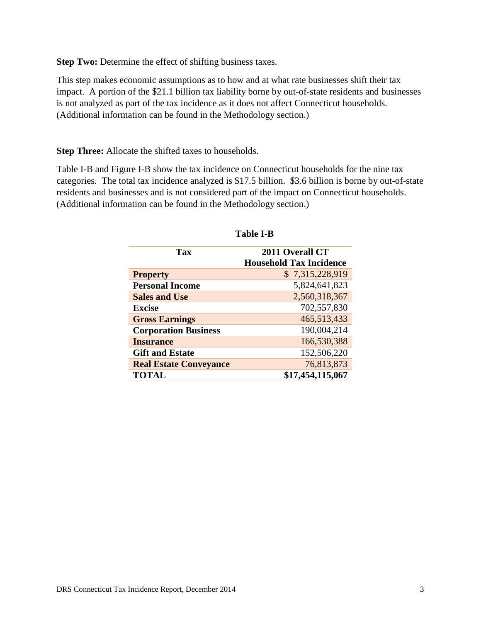**Step Two:** Determine the effect of shifting business taxes.

This step makes economic assumptions as to how and at what rate businesses shift their tax impact. A portion of the \$21.1 billion tax liability borne by out-of-state residents and businesses is not analyzed as part of the tax incidence as it does not affect Connecticut households. (Additional information can be found in the Methodology section.)

**Step Three:** Allocate the shifted taxes to households.

Table I-B and Figure I-B show the tax incidence on Connecticut households for the nine tax categories. The total tax incidence analyzed is \$17.5 billion. \$3.6 billion is borne by out-of-state residents and businesses and is not considered part of the impact on Connecticut households. (Additional information can be found in the Methodology section.)

| Tax                           | 2011 Overall CT<br><b>Household Tax Incidence</b> |
|-------------------------------|---------------------------------------------------|
| <b>Property</b>               | \$7,315,228,919                                   |
| <b>Personal Income</b>        | 5,824,641,823                                     |
| <b>Sales and Use</b>          | 2,560,318,367                                     |
| <b>Excise</b>                 | 702,557,830                                       |
| <b>Gross Earnings</b>         | 465,513,433                                       |
| <b>Corporation Business</b>   | 190,004,214                                       |
| <b>Insurance</b>              | 166,530,388                                       |
| <b>Gift and Estate</b>        | 152,506,220                                       |
| <b>Real Estate Conveyance</b> | 76,813,873                                        |
| <b>TOTAL</b>                  | \$17,454,115,067                                  |

#### **Table I-B**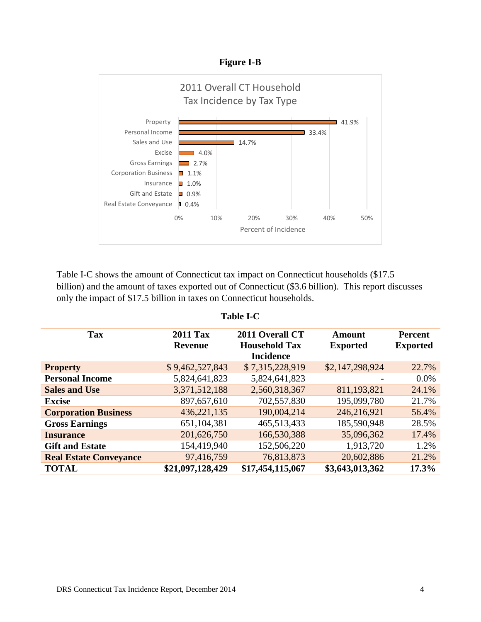**Figure I-B** 



Table I-C shows the amount of Connecticut tax impact on Connecticut households (\$17.5 billion) and the amount of taxes exported out of Connecticut (\$3.6 billion). This report discusses only the impact of \$17.5 billion in taxes on Connecticut households.

| Tax                           | <b>2011 Tax</b>  | 2011 Overall CT      | Amount          | <b>Percent</b>  |
|-------------------------------|------------------|----------------------|-----------------|-----------------|
|                               | <b>Revenue</b>   | <b>Household Tax</b> | <b>Exported</b> | <b>Exported</b> |
|                               |                  | <b>Incidence</b>     |                 |                 |
| <b>Property</b>               | \$9,462,527,843  | \$7,315,228,919      | \$2,147,298,924 | 22.7%           |
| <b>Personal Income</b>        | 5,824,641,823    | 5,824,641,823        |                 | $0.0\%$         |
| <b>Sales and Use</b>          | 3,371,512,188    | 2,560,318,367        | 811,193,821     | 24.1%           |
| <b>Excise</b>                 | 897,657,610      | 702,557,830          | 195,099,780     | 21.7%           |
| <b>Corporation Business</b>   | 436, 221, 135    | 190,004,214          | 246,216,921     | 56.4%           |
| <b>Gross Earnings</b>         | 651,104,381      | 465,513,433          | 185,590,948     | 28.5%           |
| <b>Insurance</b>              | 201,626,750      | 166,530,388          | 35,096,362      | 17.4%           |
| <b>Gift and Estate</b>        | 154,419,940      | 152,506,220          | 1,913,720       | 1.2%            |
| <b>Real Estate Conveyance</b> | 97,416,759       | 76,813,873           | 20,602,886      | 21.2%           |
| <b>TOTAL</b>                  | \$21,097,128,429 | \$17,454,115,067     | \$3,643,013,362 | 17.3%           |

#### **Table I-C**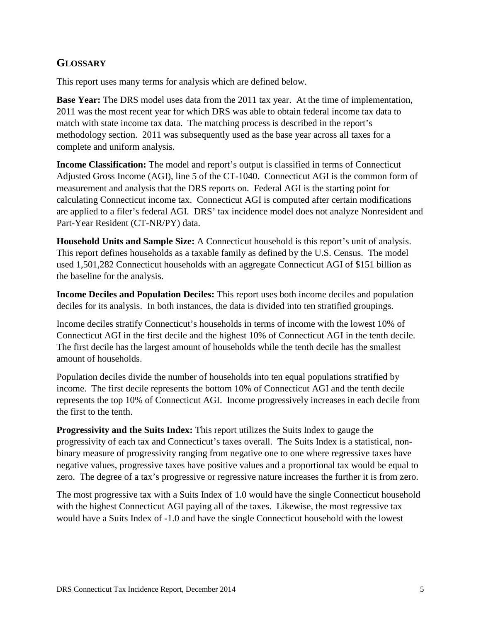### **GLOSSARY**

This report uses many terms for analysis which are defined below.

**Base Year:** The DRS model uses data from the 2011 tax year. At the time of implementation, 2011 was the most recent year for which DRS was able to obtain federal income tax data to match with state income tax data. The matching process is described in the report's methodology section. 2011 was subsequently used as the base year across all taxes for a complete and uniform analysis.

**Income Classification:** The model and report's output is classified in terms of Connecticut Adjusted Gross Income (AGI), line 5 of the CT-1040. Connecticut AGI is the common form of measurement and analysis that the DRS reports on. Federal AGI is the starting point for calculating Connecticut income tax. Connecticut AGI is computed after certain modifications are applied to a filer's federal AGI. DRS' tax incidence model does not analyze Nonresident and Part-Year Resident (CT-NR/PY) data.

**Household Units and Sample Size:** A Connecticut household is this report's unit of analysis. This report defines households as a taxable family as defined by the U.S. Census. The model used 1,501,282 Connecticut households with an aggregate Connecticut AGI of \$151 billion as the baseline for the analysis.

**Income Deciles and Population Deciles:** This report uses both income deciles and population deciles for its analysis. In both instances, the data is divided into ten stratified groupings.

Income deciles stratify Connecticut's households in terms of income with the lowest 10% of Connecticut AGI in the first decile and the highest 10% of Connecticut AGI in the tenth decile. The first decile has the largest amount of households while the tenth decile has the smallest amount of households.

Population deciles divide the number of households into ten equal populations stratified by income. The first decile represents the bottom 10% of Connecticut AGI and the tenth decile represents the top 10% of Connecticut AGI. Income progressively increases in each decile from the first to the tenth.

**Progressivity and the Suits Index:** This report utilizes the Suits Index to gauge the progressivity of each tax and Connecticut's taxes overall. The Suits Index is a statistical, nonbinary measure of progressivity ranging from negative one to one where regressive taxes have negative values, progressive taxes have positive values and a proportional tax would be equal to zero. The degree of a tax's progressive or regressive nature increases the further it is from zero.

The most progressive tax with a Suits Index of 1.0 would have the single Connecticut household with the highest Connecticut AGI paying all of the taxes. Likewise, the most regressive tax would have a Suits Index of -1.0 and have the single Connecticut household with the lowest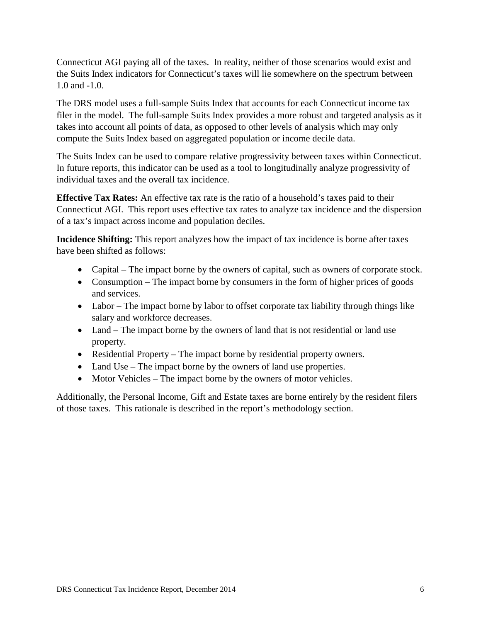Connecticut AGI paying all of the taxes. In reality, neither of those scenarios would exist and the Suits Index indicators for Connecticut's taxes will lie somewhere on the spectrum between 1.0 and -1.0.

The DRS model uses a full-sample Suits Index that accounts for each Connecticut income tax filer in the model. The full-sample Suits Index provides a more robust and targeted analysis as it takes into account all points of data, as opposed to other levels of analysis which may only compute the Suits Index based on aggregated population or income decile data.

The Suits Index can be used to compare relative progressivity between taxes within Connecticut. In future reports, this indicator can be used as a tool to longitudinally analyze progressivity of individual taxes and the overall tax incidence.

**Effective Tax Rates:** An effective tax rate is the ratio of a household's taxes paid to their Connecticut AGI. This report uses effective tax rates to analyze tax incidence and the dispersion of a tax's impact across income and population deciles.

**Incidence Shifting:** This report analyzes how the impact of tax incidence is borne after taxes have been shifted as follows:

- Capital The impact borne by the owners of capital, such as owners of corporate stock.
- Consumption The impact borne by consumers in the form of higher prices of goods and services.
- Labor The impact borne by labor to offset corporate tax liability through things like salary and workforce decreases.
- Land The impact borne by the owners of land that is not residential or land use property.
- Residential Property The impact borne by residential property owners.
- Land Use The impact borne by the owners of land use properties.
- Motor Vehicles The impact borne by the owners of motor vehicles.

Additionally, the Personal Income, Gift and Estate taxes are borne entirely by the resident filers of those taxes. This rationale is described in the report's methodology section.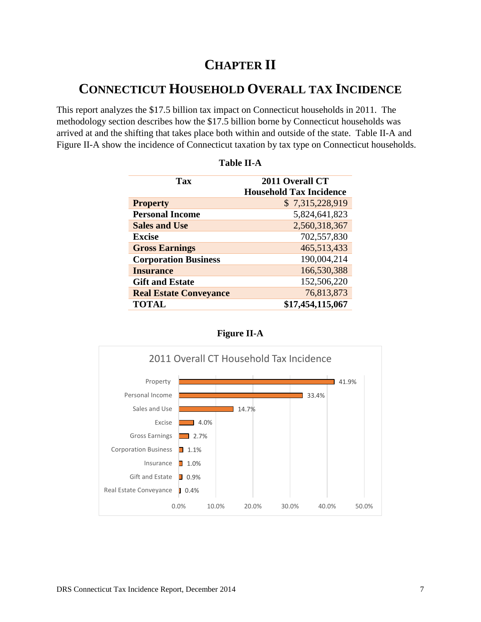### **CHAPTER II**

### **CONNECTICUT HOUSEHOLD OVERALL TAX INCIDENCE**

This report analyzes the \$17.5 billion tax impact on Connecticut households in 2011. The methodology section describes how the \$17.5 billion borne by Connecticut households was arrived at and the shifting that takes place both within and outside of the state. Table II-A and Figure II-A show the incidence of Connecticut taxation by tax type on Connecticut households.

| Tax                           | 2011 Overall CT                |  |
|-------------------------------|--------------------------------|--|
|                               | <b>Household Tax Incidence</b> |  |
| <b>Property</b>               | \$7,315,228,919                |  |
| <b>Personal Income</b>        | 5,824,641,823                  |  |
| <b>Sales and Use</b>          | 2,560,318,367                  |  |
| <b>Excise</b>                 | 702,557,830                    |  |
| <b>Gross Earnings</b>         | 465,513,433                    |  |
| <b>Corporation Business</b>   | 190,004,214                    |  |
| <b>Insurance</b>              | 166,530,388                    |  |
| <b>Gift and Estate</b>        | 152,506,220                    |  |
| <b>Real Estate Conveyance</b> | 76,813,873                     |  |
| <b>TOTAL</b>                  | \$17,454,115,067               |  |



### **Figure II-A**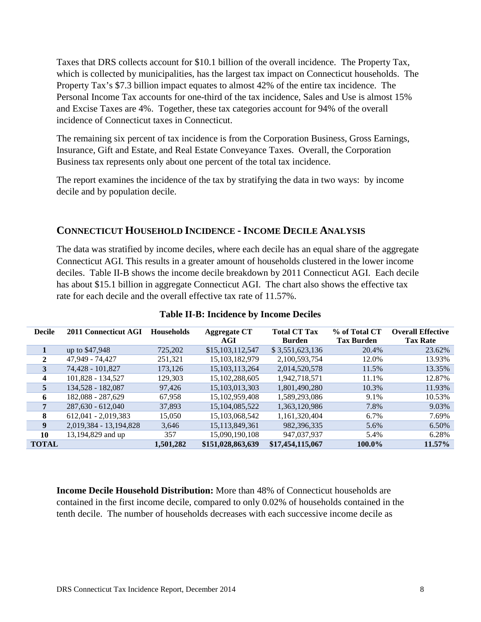Taxes that DRS collects account for \$10.1 billion of the overall incidence. The Property Tax, which is collected by municipalities, has the largest tax impact on Connecticut households. The Property Tax's \$7.3 billion impact equates to almost 42% of the entire tax incidence. The Personal Income Tax accounts for one-third of the tax incidence, Sales and Use is almost 15% and Excise Taxes are 4%. Together, these tax categories account for 94% of the overall incidence of Connecticut taxes in Connecticut.

The remaining six percent of tax incidence is from the Corporation Business, Gross Earnings, Insurance, Gift and Estate, and Real Estate Conveyance Taxes. Overall, the Corporation Business tax represents only about one percent of the total tax incidence.

The report examines the incidence of the tax by stratifying the data in two ways: by income decile and by population decile.

### **CONNECTICUT HOUSEHOLD INCIDENCE - INCOME DECILE ANALYSIS**

The data was stratified by income deciles, where each decile has an equal share of the aggregate Connecticut AGI. This results in a greater amount of households clustered in the lower income deciles. Table II-B shows the income decile breakdown by 2011 Connecticut AGI. Each decile has about \$15.1 billion in aggregate Connecticut AGI. The chart also shows the effective tax rate for each decile and the overall effective tax rate of 11.57%.

| <b>Decile</b> | 2011 Connecticut AGI   | <b>Households</b> | <b>Aggregate CT</b> | <b>Total CT Tax</b> | % of Total CT     | <b>Overall Effective</b> |
|---------------|------------------------|-------------------|---------------------|---------------------|-------------------|--------------------------|
|               |                        |                   | AGI                 | <b>Burden</b>       | <b>Tax Burden</b> | <b>Tax Rate</b>          |
|               | up to \$47,948         | 725,202           | \$15,103,112,547    | \$3,551,623,136     | 20.4%             | 23.62%                   |
| 2             | 47,949 - 74,427        | 251,321           | 15, 103, 182, 979   | 2,100,593,754       | 12.0%             | 13.93%                   |
| 3             | 74,428 - 101,827       | 173,126           | 15, 103, 113, 264   | 2,014,520,578       | 11.5%             | 13.35%                   |
| 4             | 101,828 - 134,527      | 129,303           | 15, 102, 288, 605   | 1,942,718,571       | 11.1%             | 12.87%                   |
| 5             | 134,528 - 182,087      | 97,426            | 15, 103, 013, 303   | 1,801,490,280       | 10.3%             | 11.93%                   |
| 6             | 182,088 - 287,629      | 67,958            | 15, 102, 959, 408   | 1,589,293,086       | 9.1%              | 10.53%                   |
| 7             | $287,630 - 612,040$    | 37,893            | 15,104,085,522      | 1,363,120,986       | 7.8%              | 9.03%                    |
| 8             | $612,041 - 2,019,383$  | 15,050            | 15,103,068,542      | 1,161,320,404       | 6.7%              | 7.69%                    |
| 9             | 2,019,384 - 13,194,828 | 3,646             | 15, 113, 849, 361   | 982,396,335         | 5.6%              | 6.50%                    |
| 10            | 13,194,829 and up      | 357               | 15,090,190,108      | 947,037,937         | 5.4%              | 6.28%                    |
| <b>TOTAL</b>  |                        | 1,501,282         | \$151,028,863,639   | \$17,454,115,067    | 100.0%            | 11.57%                   |

### **Table II-B: Incidence by Income Deciles**

**Income Decile Household Distribution:** More than 48% of Connecticut households are contained in the first income decile, compared to only 0.02% of households contained in the tenth decile. The number of households decreases with each successive income decile as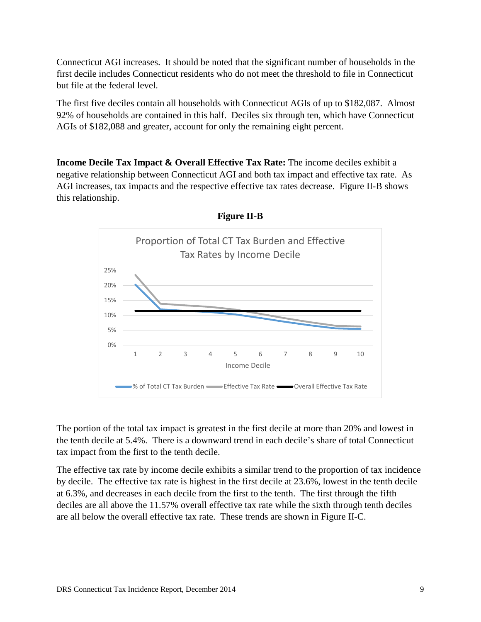Connecticut AGI increases. It should be noted that the significant number of households in the first decile includes Connecticut residents who do not meet the threshold to file in Connecticut but file at the federal level.

The first five deciles contain all households with Connecticut AGIs of up to \$182,087. Almost 92% of households are contained in this half. Deciles six through ten, which have Connecticut AGIs of \$182,088 and greater, account for only the remaining eight percent.

**Income Decile Tax Impact & Overall Effective Tax Rate:** The income deciles exhibit a negative relationship between Connecticut AGI and both tax impact and effective tax rate. As AGI increases, tax impacts and the respective effective tax rates decrease. Figure II-B shows this relationship.



**Figure II-B** 

The portion of the total tax impact is greatest in the first decile at more than 20% and lowest in the tenth decile at 5.4%. There is a downward trend in each decile's share of total Connecticut tax impact from the first to the tenth decile.

The effective tax rate by income decile exhibits a similar trend to the proportion of tax incidence by decile. The effective tax rate is highest in the first decile at 23.6%, lowest in the tenth decile at 6.3%, and decreases in each decile from the first to the tenth. The first through the fifth deciles are all above the 11.57% overall effective tax rate while the sixth through tenth deciles are all below the overall effective tax rate. These trends are shown in Figure II-C.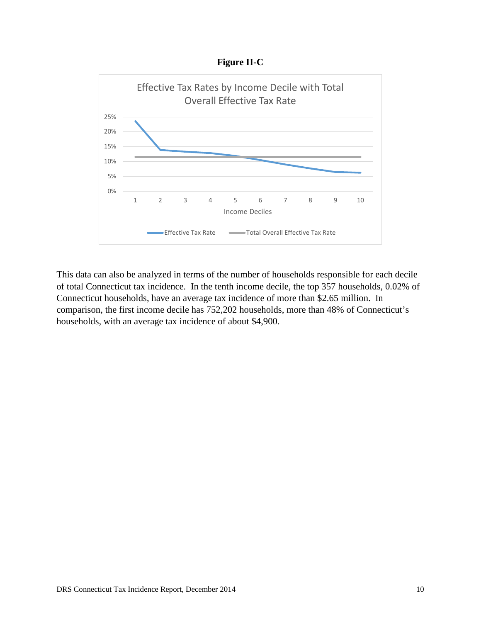**Figure II-C** 



This data can also be analyzed in terms of the number of households responsible for each decile of total Connecticut tax incidence. In the tenth income decile, the top 357 households, 0.02% of Connecticut households, have an average tax incidence of more than \$2.65 million. In comparison, the first income decile has 752,202 households, more than 48% of Connecticut's households, with an average tax incidence of about \$4,900.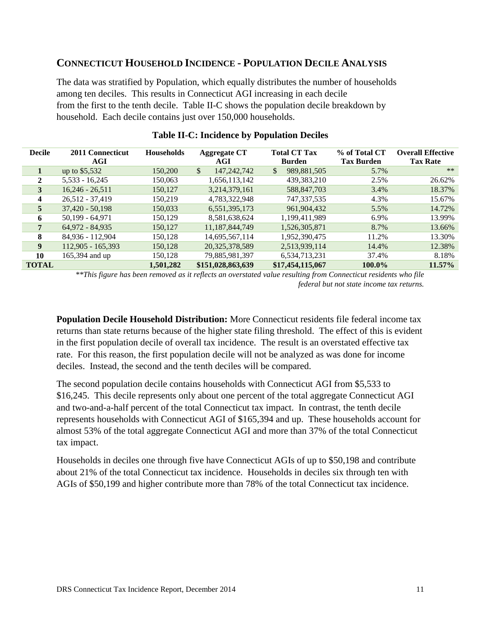### **CONNECTICUT HOUSEHOLD INCIDENCE - POPULATION DECILE ANALYSIS**

The data was stratified by Population, which equally distributes the number of households among ten deciles. This results in Connecticut AGI increasing in each decile from the first to the tenth decile. Table II-C shows the population decile breakdown by household. Each decile contains just over 150,000 households.

| <b>Decile</b> | 2011 Connecticut<br>AGI | <b>Households</b> | <b>Aggregate CT</b><br>AGI     | <b>Total CT Tax</b><br><b>Burden</b> | % of Total CT<br><b>Tax Burden</b> | <b>Overall Effective</b><br><b>Tax Rate</b> |
|---------------|-------------------------|-------------------|--------------------------------|--------------------------------------|------------------------------------|---------------------------------------------|
|               | up to $$5,532$          | 150,200           | $\frac{1}{2}$<br>147, 242, 742 | \$<br>989,881,505                    | 5.7%                               | $**$                                        |
| 2             | $5,533 - 16,245$        | 150,063           | 1,656,113,142                  | 439,383,210                          | 2.5%                               | 26.62%                                      |
| 3             | $16,246 - 26,511$       | 150,127           | 3,214,379,161                  | 588,847,703                          | 3.4%                               | 18.37%                                      |
| 4             | $26,512 - 37,419$       | 150,219           | 4,783,322,948                  | 747,337,535                          | 4.3%                               | 15.67%                                      |
| 5             | $37,420 - 50,198$       | 150,033           | 6,551,395,173                  | 961,904,432                          | 5.5%                               | 14.72%                                      |
| 6             | $50,199 - 64,971$       | 150,129           | 8,581,638,624                  | 1,199,411,989                        | 6.9%                               | 13.99%                                      |
| 7             | 64,972 - 84,935         | 150,127           | 11,187,844,749                 | 1,526,305,871                        | 8.7%                               | 13.66%                                      |
| 8             | 84,936 - 112,904        | 150,128           | 14,695,567,114                 | 1,952,390,475                        | 11.2%                              | 13.30%                                      |
| 9             | $112,905 - 165,393$     | 150,128           | 20, 325, 378, 589              | 2,513,939,114                        | 14.4%                              | 12.38%                                      |
| 10            | 165,394 and up          | 150,128           | 79,885,981,397                 | 6,534,713,231                        | 37.4%                              | 8.18%                                       |
| <b>TOTAL</b>  |                         | 1,501,282         | \$151,028,863,639              | \$17,454,115,067                     | 100.0%                             | $11.57\%$                                   |

#### **Table II-C: Incidence by Population Deciles**

*\*\*This figure has been removed as it reflects an overstated value resulting from Connecticut residents who file federal but not state income tax returns.*

**Population Decile Household Distribution:** More Connecticut residents file federal income tax returns than state returns because of the higher state filing threshold. The effect of this is evident in the first population decile of overall tax incidence. The result is an overstated effective tax rate. For this reason, the first population decile will not be analyzed as was done for income deciles. Instead, the second and the tenth deciles will be compared.

The second population decile contains households with Connecticut AGI from \$5,533 to \$16,245. This decile represents only about one percent of the total aggregate Connecticut AGI and two-and-a-half percent of the total Connecticut tax impact. In contrast, the tenth decile represents households with Connecticut AGI of \$165,394 and up. These households account for almost 53% of the total aggregate Connecticut AGI and more than 37% of the total Connecticut tax impact.

Households in deciles one through five have Connecticut AGIs of up to \$50,198 and contribute about 21% of the total Connecticut tax incidence. Households in deciles six through ten with AGIs of \$50,199 and higher contribute more than 78% of the total Connecticut tax incidence.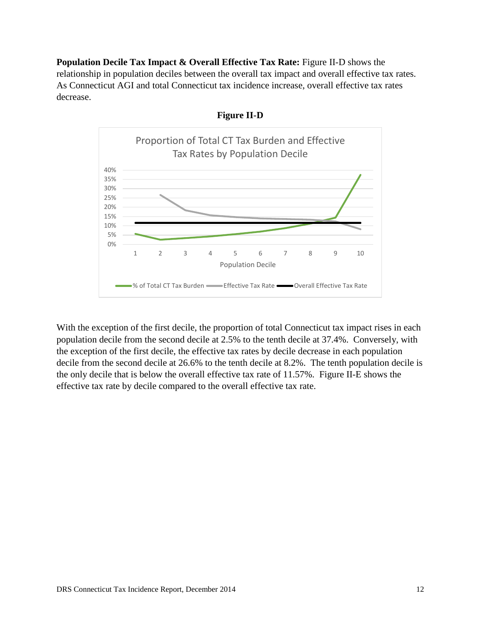**Population Decile Tax Impact & Overall Effective Tax Rate:** Figure II-D shows the relationship in population deciles between the overall tax impact and overall effective tax rates. As Connecticut AGI and total Connecticut tax incidence increase, overall effective tax rates decrease.





With the exception of the first decile, the proportion of total Connecticut tax impact rises in each population decile from the second decile at 2.5% to the tenth decile at 37.4%. Conversely, with the exception of the first decile, the effective tax rates by decile decrease in each population decile from the second decile at 26.6% to the tenth decile at 8.2%. The tenth population decile is the only decile that is below the overall effective tax rate of 11.57%. Figure II-E shows the effective tax rate by decile compared to the overall effective tax rate.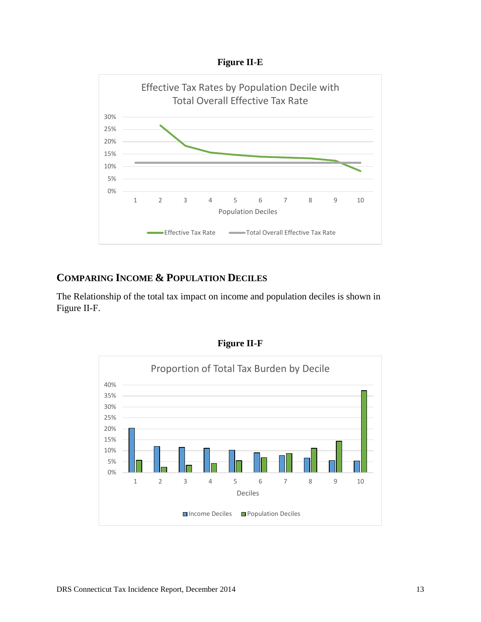



### **COMPARING INCOME & POPULATION DECILES**

The Relationship of the total tax impact on income and population deciles is shown in Figure II-F.



**Figure II-F**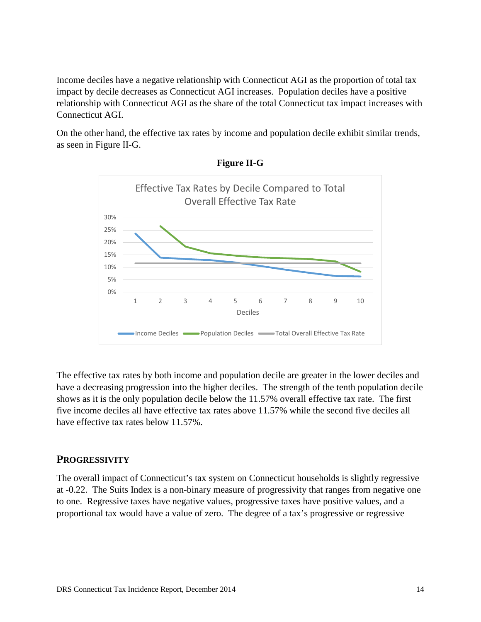Income deciles have a negative relationship with Connecticut AGI as the proportion of total tax impact by decile decreases as Connecticut AGI increases. Population deciles have a positive relationship with Connecticut AGI as the share of the total Connecticut tax impact increases with Connecticut AGI.

On the other hand, the effective tax rates by income and population decile exhibit similar trends, as seen in Figure II-G.





The effective tax rates by both income and population decile are greater in the lower deciles and have a decreasing progression into the higher deciles. The strength of the tenth population decile shows as it is the only population decile below the 11.57% overall effective tax rate. The first five income deciles all have effective tax rates above 11.57% while the second five deciles all have effective tax rates below 11.57%.

### **PROGRESSIVITY**

The overall impact of Connecticut's tax system on Connecticut households is slightly regressive at -0.22. The Suits Index is a non-binary measure of progressivity that ranges from negative one to one. Regressive taxes have negative values, progressive taxes have positive values, and a proportional tax would have a value of zero. The degree of a tax's progressive or regressive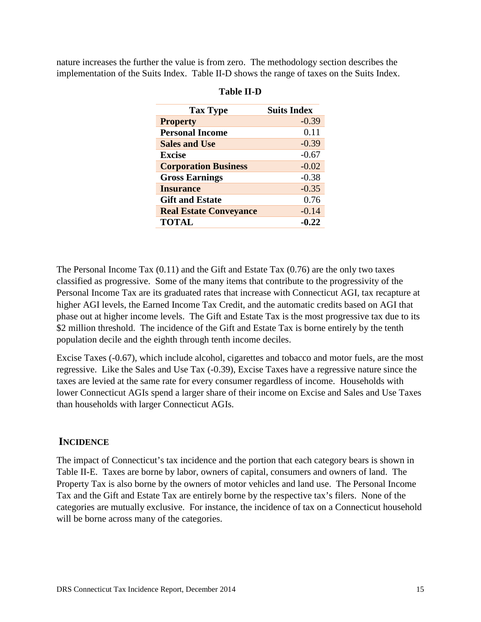nature increases the further the value is from zero. The methodology section describes the implementation of the Suits Index. Table II-D shows the range of taxes on the Suits Index.

| <b>Tax Type</b>               | <b>Suits Index</b> |
|-------------------------------|--------------------|
| <b>Property</b>               | $-0.39$            |
| <b>Personal Income</b>        | 0.11               |
| <b>Sales and Use</b>          | $-0.39$            |
| <b>Excise</b>                 | $-0.67$            |
| <b>Corporation Business</b>   | $-0.02$            |
| <b>Gross Earnings</b>         | $-0.38$            |
| <b>Insurance</b>              | $-0.35$            |
| <b>Gift and Estate</b>        | 0.76               |
| <b>Real Estate Conveyance</b> | $-0.14$            |
| <b>TOTAL</b>                  | $-0.22$            |

#### **Table II-D**

The Personal Income Tax (0.11) and the Gift and Estate Tax (0.76) are the only two taxes classified as progressive. Some of the many items that contribute to the progressivity of the Personal Income Tax are its graduated rates that increase with Connecticut AGI, tax recapture at higher AGI levels, the Earned Income Tax Credit, and the automatic credits based on AGI that phase out at higher income levels. The Gift and Estate Tax is the most progressive tax due to its \$2 million threshold. The incidence of the Gift and Estate Tax is borne entirely by the tenth population decile and the eighth through tenth income deciles.

Excise Taxes (-0.67), which include alcohol, cigarettes and tobacco and motor fuels, are the most regressive. Like the Sales and Use Tax (-0.39), Excise Taxes have a regressive nature since the taxes are levied at the same rate for every consumer regardless of income. Households with lower Connecticut AGIs spend a larger share of their income on Excise and Sales and Use Taxes than households with larger Connecticut AGIs.

### **INCIDENCE**

The impact of Connecticut's tax incidence and the portion that each category bears is shown in Table II-E. Taxes are borne by labor, owners of capital, consumers and owners of land. The Property Tax is also borne by the owners of motor vehicles and land use. The Personal Income Tax and the Gift and Estate Tax are entirely borne by the respective tax's filers. None of the categories are mutually exclusive. For instance, the incidence of tax on a Connecticut household will be borne across many of the categories.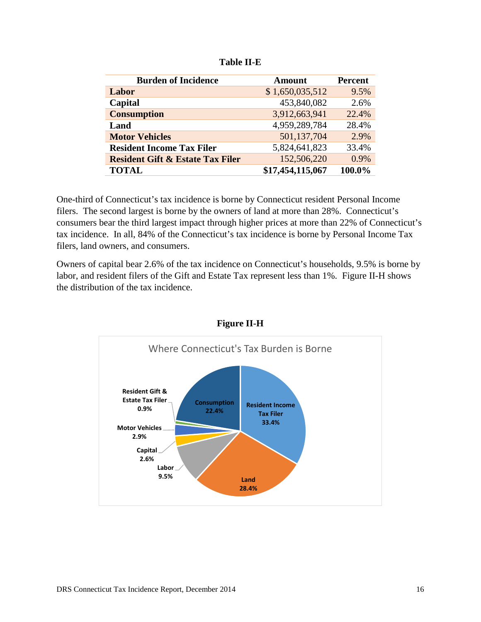| <b>Burden of Incidence</b>                  | <b>Amount</b>    | <b>Percent</b> |
|---------------------------------------------|------------------|----------------|
| Labor                                       | \$1,650,035,512  | 9.5%           |
| Capital                                     | 453,840,082      | 2.6%           |
| <b>Consumption</b>                          | 3,912,663,941    | 22.4%          |
| Land                                        | 4,959,289,784    | 28.4%          |
| <b>Motor Vehicles</b>                       | 501,137,704      | 2.9%           |
| <b>Resident Income Tax Filer</b>            | 5,824,641,823    | 33.4%          |
| <b>Resident Gift &amp; Estate Tax Filer</b> | 152,506,220      | $0.9\%$        |
| <b>TOTAL</b>                                | \$17,454,115,067 | 100.0%         |

One-third of Connecticut's tax incidence is borne by Connecticut resident Personal Income filers. The second largest is borne by the owners of land at more than 28%. Connecticut's consumers bear the third largest impact through higher prices at more than 22% of Connecticut's tax incidence. In all, 84% of the Connecticut's tax incidence is borne by Personal Income Tax filers, land owners, and consumers.

Owners of capital bear 2.6% of the tax incidence on Connecticut's households, 9.5% is borne by labor, and resident filers of the Gift and Estate Tax represent less than 1%. Figure II-H shows the distribution of the tax incidence.



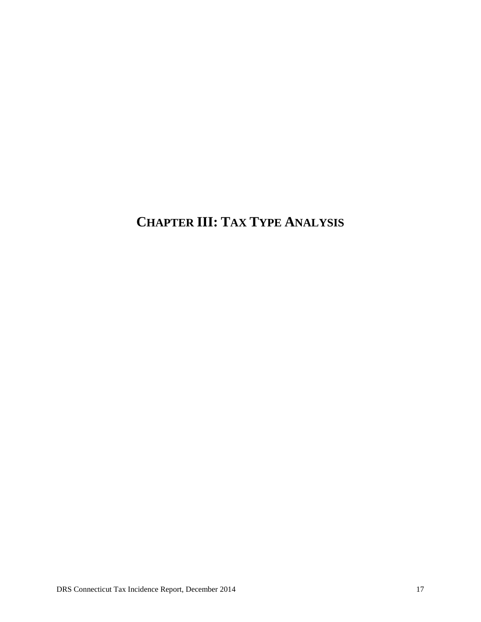### **CHAPTER III: TAX TYPE ANALYSIS**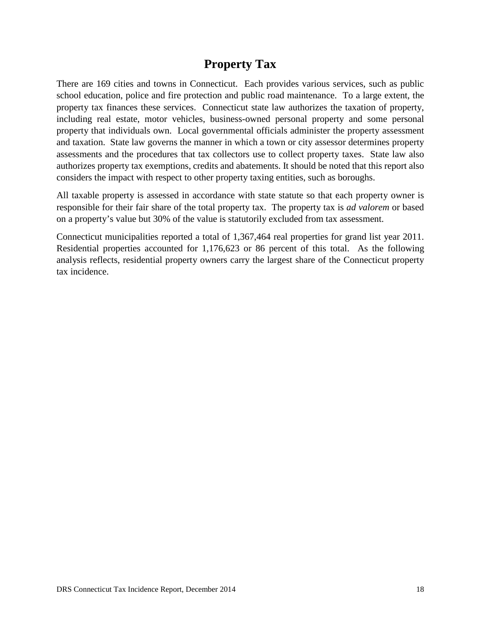### **Property Tax**

There are 169 cities and towns in Connecticut. Each provides various services, such as public school education, police and fire protection and public road maintenance. To a large extent, the property tax finances these services. Connecticut state law authorizes the taxation of property, including real estate, motor vehicles, business-owned personal property and some personal property that individuals own. Local governmental officials administer the property assessment and taxation. State law governs the manner in which a town or city assessor determines property assessments and the procedures that tax collectors use to collect property taxes. State law also authorizes property tax exemptions, credits and abatements. It should be noted that this report also considers the impact with respect to other property taxing entities, such as boroughs.

All taxable property is assessed in accordance with state statute so that each property owner is responsible for their fair share of the total property tax. The property tax is *ad valorem* or based on a property's value but 30% of the value is statutorily excluded from tax assessment.

Connecticut municipalities reported a total of 1,367,464 real properties for grand list year 2011. Residential properties accounted for 1,176,623 or 86 percent of this total. As the following analysis reflects, residential property owners carry the largest share of the Connecticut property tax incidence.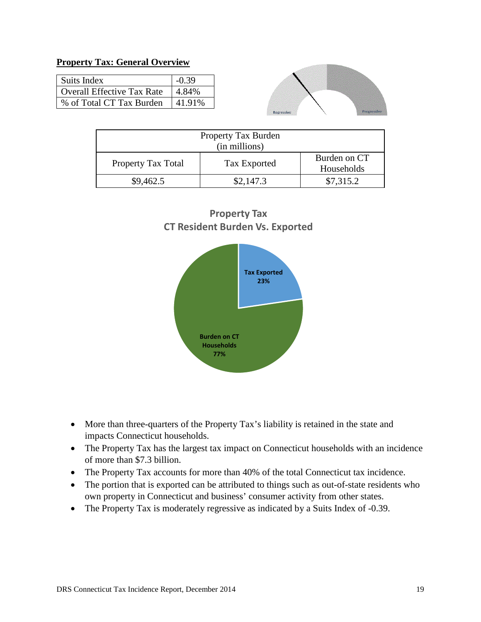#### **Property Tax: General Overview**

| Suits Index                | $-0.39$ |
|----------------------------|---------|
| Overall Effective Tax Rate | 4.84%   |
| % of Total CT Tax Burden   | 41.91\% |



| Property Tax Burden<br>(in millions) |              |                            |  |  |
|--------------------------------------|--------------|----------------------------|--|--|
| Property Tax Total                   | Tax Exported | Burden on CT<br>Households |  |  |
| \$9,462.5                            | \$2,147.3    | \$7,315.2                  |  |  |





- More than three-quarters of the Property Tax's liability is retained in the state and impacts Connecticut households.
- The Property Tax has the largest tax impact on Connecticut households with an incidence of more than \$7.3 billion.
- The Property Tax accounts for more than 40% of the total Connecticut tax incidence.
- The portion that is exported can be attributed to things such as out-of-state residents who own property in Connecticut and business' consumer activity from other states.
- The Property Tax is moderately regressive as indicated by a Suits Index of -0.39.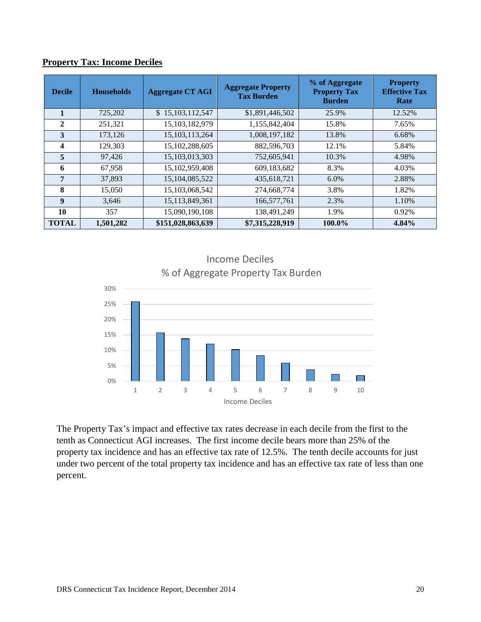| <b>Decile</b> | <b>Households</b> | <b>Aggregate CT AGI</b> | <b>Aggregate Property</b><br><b>Tax Burden</b> | % of Aggregate<br><b>Property Tax</b><br><b>Burden</b> | <b>Property</b><br><b>Effective Tax</b><br>Rate |
|---------------|-------------------|-------------------------|------------------------------------------------|--------------------------------------------------------|-------------------------------------------------|
| 1             | 725,202           | \$15,103,112,547        | \$1,891,446,502                                | 25.9%                                                  | 12.52%                                          |
| $\mathbf{2}$  | 251,321           | 15,103,182,979          | 1,155,842,404                                  | 15.8%                                                  | 7.65%                                           |
| 3             | 173,126           | 15, 103, 113, 264       | 1,008,197,182                                  | 13.8%                                                  | 6.68%                                           |
| 4             | 129,303           | 15,102,288,605          | 882,596,703                                    | 12.1%                                                  | 5.84%                                           |
| 5             | 97,426            | 15,103,013,303          | 752,605,941                                    | 10.3%                                                  | 4.98%                                           |
| 6             | 67,958            | 15, 102, 959, 408       | 609,183,682                                    | 8.3%                                                   | 4.03%                                           |
| 7             | 37,893            | 15,104,085,522          | 435,618,721                                    | 6.0%                                                   | 2.88%                                           |
| 8             | 15,050            | 15,103,068,542          | 274,668,774                                    | 3.8%                                                   | 1.82%                                           |
| 9             | 3,646             | 15, 113, 849, 361       | 166,577,761                                    | 2.3%                                                   | 1.10%                                           |
| 10            | 357               | 15,090,190,108          | 138,491,249                                    | 1.9%                                                   | 0.92%                                           |
| <b>TOTAL</b>  | 1,501,282         | \$151,028,863,639       | \$7,315,228,919                                | 100.0%                                                 | 4.84%                                           |

#### **Property Tax: Income Deciles**



The Property Tax's impact and effective tax rates decrease in each decile from the first to the tenth as Connecticut AGI increases. The first income decile bears more than 25% of the property tax incidence and has an effective tax rate of 12.5%. The tenth decile accounts for just under two percent of the total property tax incidence and has an effective tax rate of less than one percent.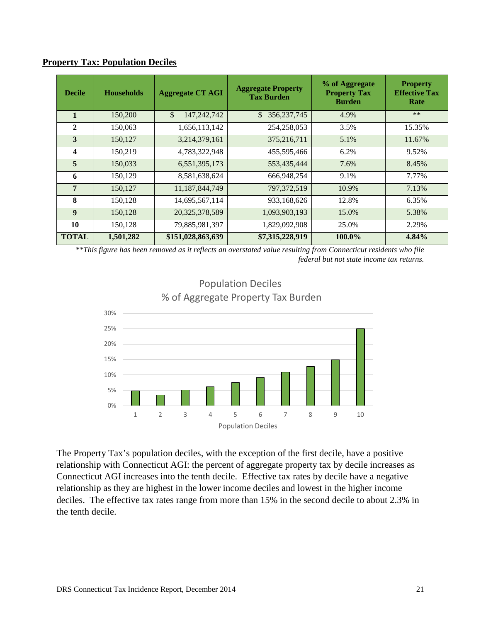| <b>Decile</b>           | <b>Households</b> | <b>Aggregate CT AGI</b>     | <b>Aggregate Property</b><br><b>Tax Burden</b> | % of Aggregate<br><b>Property Tax</b><br><b>Burden</b> | <b>Property</b><br><b>Effective Tax</b><br>Rate |
|-------------------------|-------------------|-----------------------------|------------------------------------------------|--------------------------------------------------------|-------------------------------------------------|
| $\mathbf{1}$            | 150,200           | $\mathbb{S}$<br>147,242,742 | 356, 237, 745<br>\$                            | 4.9%                                                   | $***$                                           |
| $\mathbf{2}$            | 150,063           | 1,656,113,142               | 254, 258, 053                                  | 3.5%                                                   | 15.35%                                          |
| 3                       | 150,127           | 3,214,379,161               | 375,216,711                                    | 5.1%                                                   | 11.67%                                          |
| $\overline{\mathbf{4}}$ | 150,219           | 4,783,322,948               | 455,595,466                                    | 6.2%                                                   | 9.52%                                           |
| 5                       | 150,033           | 6,551,395,173               | 553,435,444                                    | 7.6%                                                   | 8.45%                                           |
| 6                       | 150,129           | 8,581,638,624               | 666,948,254                                    | 9.1%                                                   | 7.77%                                           |
| 7                       | 150,127           | 11,187,844,749              | 797, 372, 519                                  | 10.9%                                                  | 7.13%                                           |
| 8                       | 150,128           | 14,695,567,114              | 933,168,626                                    | 12.8%                                                  | 6.35%                                           |
| $\boldsymbol{9}$        | 150,128           | 20,325,378,589              | 1,093,903,193                                  | 15.0%                                                  | 5.38%                                           |
| 10                      | 150,128           | 79,885,981,397              | 1,829,092,908                                  | 25.0%                                                  | 2.29%                                           |
| <b>TOTAL</b>            | 1,501,282         | \$151,028,863,639           | \$7,315,228,919                                | 100.0%                                                 | 4.84%                                           |

#### **Property Tax: Population Deciles**

*\*\*This figure has been removed as it reflects an overstated value resulting from Connecticut residents who file federal but not state income tax returns.*



### Population Deciles % of Aggregate Property Tax Burden

The Property Tax's population deciles, with the exception of the first decile, have a positive relationship with Connecticut AGI: the percent of aggregate property tax by decile increases as Connecticut AGI increases into the tenth decile. Effective tax rates by decile have a negative relationship as they are highest in the lower income deciles and lowest in the higher income deciles. The effective tax rates range from more than 15% in the second decile to about 2.3% in the tenth decile.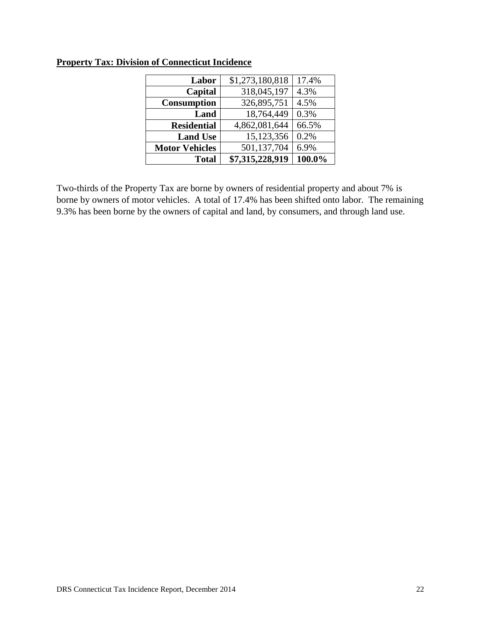| Labor                 | \$1,273,180,818 | 17.4%  |
|-----------------------|-----------------|--------|
| Capital               | 318,045,197     | 4.3%   |
| <b>Consumption</b>    | 326,895,751     | 4.5%   |
| Land                  | 18,764,449      | 0.3%   |
| <b>Residential</b>    | 4,862,081,644   | 66.5%  |
| <b>Land Use</b>       | 15,123,356      | 0.2%   |
| <b>Motor Vehicles</b> | 501,137,704     | 6.9%   |
| <b>Total</b>          | \$7,315,228,919 | 100.0% |

### **Property Tax: Division of Connecticut Incidence**

Two-thirds of the Property Tax are borne by owners of residential property and about 7% is borne by owners of motor vehicles. A total of 17.4% has been shifted onto labor. The remaining 9.3% has been borne by the owners of capital and land, by consumers, and through land use.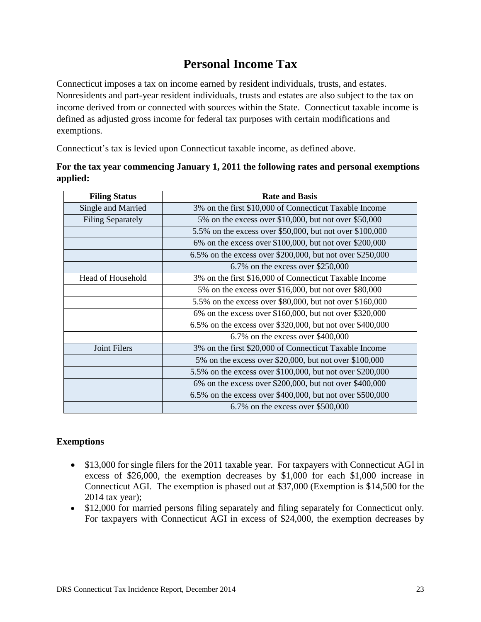### **Personal Income Tax**

Connecticut imposes a tax on income earned by resident individuals, trusts, and estates. Nonresidents and part-year resident individuals, trusts and estates are also subject to the tax on income derived from or connected with sources within the State. Connecticut taxable income is defined as adjusted gross income for federal tax purposes with certain modifications and exemptions.

Connecticut's tax is levied upon Connecticut taxable income, as defined above.

| <b>Filing Status</b>     | <b>Rate and Basis</b>                                     |  |
|--------------------------|-----------------------------------------------------------|--|
| Single and Married       | 3% on the first \$10,000 of Connecticut Taxable Income    |  |
| <b>Filing Separately</b> | 5% on the excess over \$10,000, but not over \$50,000     |  |
|                          | 5.5% on the excess over \$50,000, but not over \$100,000  |  |
|                          | 6% on the excess over \$100,000, but not over \$200,000   |  |
|                          | 6.5% on the excess over \$200,000, but not over \$250,000 |  |
|                          | $6.7\%$ on the excess over \$250,000                      |  |
| Head of Household        | 3% on the first \$16,000 of Connecticut Taxable Income    |  |
|                          | 5% on the excess over \$16,000, but not over \$80,000     |  |
|                          | 5.5% on the excess over \$80,000, but not over \$160,000  |  |
|                          | 6% on the excess over \$160,000, but not over \$320,000   |  |
|                          | 6.5% on the excess over \$320,000, but not over \$400,000 |  |
|                          | $6.7\%$ on the excess over \$400,000                      |  |
| Joint Filers             | 3% on the first \$20,000 of Connecticut Taxable Income    |  |
|                          | 5% on the excess over \$20,000, but not over \$100,000    |  |
|                          | 5.5% on the excess over \$100,000, but not over \$200,000 |  |
|                          | 6% on the excess over \$200,000, but not over \$400,000   |  |
|                          | 6.5% on the excess over \$400,000, but not over \$500,000 |  |
|                          | $6.7\%$ on the excess over \$500,000                      |  |

### **For the tax year commencing January 1, 2011 the following rates and personal exemptions applied:**

### **Exemptions**

- \$13,000 for single filers for the 2011 taxable year. For taxpayers with Connecticut AGI in excess of \$26,000, the exemption decreases by \$1,000 for each \$1,000 increase in Connecticut AGI. The exemption is phased out at \$37,000 (Exemption is \$14,500 for the 2014 tax year);
- \$12,000 for married persons filing separately and filing separately for Connecticut only. For taxpayers with Connecticut AGI in excess of \$24,000, the exemption decreases by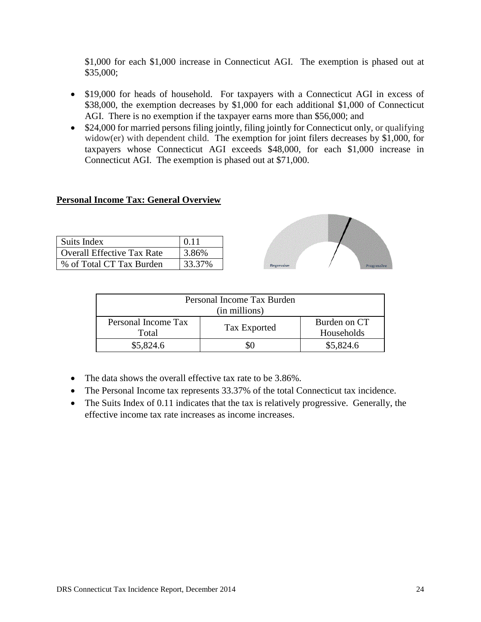\$1,000 for each \$1,000 increase in Connecticut AGI. The exemption is phased out at \$35,000;

- \$19,000 for heads of household. For taxpayers with a Connecticut AGI in excess of \$38,000, the exemption decreases by \$1,000 for each additional \$1,000 of Connecticut AGI. There is no exemption if the taxpayer earns more than \$56,000; and
- \$24,000 for married persons filing jointly, filing jointly for Connecticut only, or qualifying widow(er) with dependent child. The exemption for joint filers decreases by \$1,000, for taxpayers whose Connecticut AGI exceeds \$48,000, for each \$1,000 increase in Connecticut AGI. The exemption is phased out at \$71,000.

#### **Personal Income Tax: General Overview**

| Suits Index                | 0.11   |
|----------------------------|--------|
| Overall Effective Tax Rate | 3.86%  |
| % of Total CT Tax Burden   | 33.37% |



| Personal Income Tax Burden<br>(in millions) |              |                            |  |
|---------------------------------------------|--------------|----------------------------|--|
| Personal Income Tax<br>Total                | Tax Exported | Burden on CT<br>Households |  |
| \$5,824.6                                   |              | \$5,824.6                  |  |

- The data shows the overall effective tax rate to be 3.86%.
- The Personal Income tax represents 33.37% of the total Connecticut tax incidence.
- The Suits Index of 0.11 indicates that the tax is relatively progressive. Generally, the effective income tax rate increases as income increases.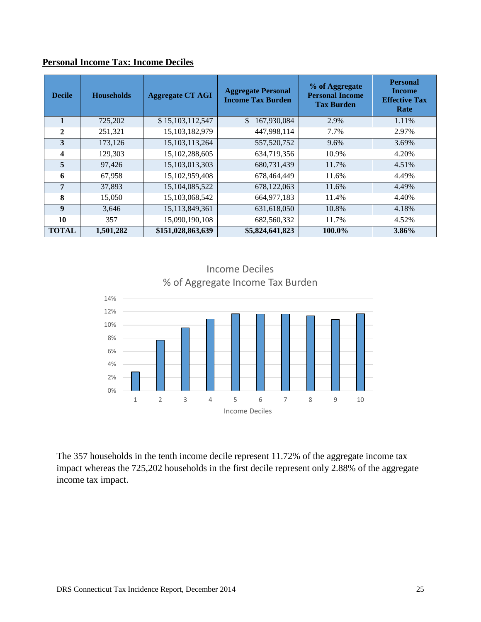| <b>Decile</b> | <b>Households</b> | <b>Aggregate CT AGI</b> | <b>Aggregate Personal</b><br><b>Income Tax Burden</b> | % of Aggregate<br><b>Personal Income</b><br><b>Tax Burden</b> | <b>Personal</b><br><b>Income</b><br><b>Effective Tax</b><br>Rate |
|---------------|-------------------|-------------------------|-------------------------------------------------------|---------------------------------------------------------------|------------------------------------------------------------------|
|               | 725,202           | \$15,103,112,547        | 167,930,084<br>\$.                                    | 2.9%                                                          | 1.11%                                                            |
| $\mathbf{2}$  | 251,321           | 15,103,182,979          | 447,998,114                                           | 7.7%                                                          | 2.97%                                                            |
| 3             | 173,126           | 15, 103, 113, 264       | 557,520,752                                           | 9.6%                                                          | 3.69%                                                            |
| 4             | 129,303           | 15,102,288,605          | 634,719,356                                           | 10.9%                                                         | 4.20%                                                            |
| 5             | 97,426            | 15, 103, 013, 303       | 680,731,439                                           | 11.7%                                                         | 4.51%                                                            |
| 6             | 67,958            | 15,102,959,408          | 678,464,449                                           | 11.6%                                                         | 4.49%                                                            |
| 7             | 37,893            | 15, 104, 085, 522       | 678,122,063                                           | 11.6%                                                         | 4.49%                                                            |
| 8             | 15,050            | 15,103,068,542          | 664, 977, 183                                         | 11.4%                                                         | 4.40%                                                            |
| 9             | 3,646             | 15,113,849,361          | 631,618,050                                           | 10.8%                                                         | 4.18%                                                            |
| 10            | 357               | 15,090,190,108          | 682,560,332                                           | 11.7%                                                         | 4.52%                                                            |
| <b>TOTAL</b>  | 1,501,282         | \$151,028,863,639       | \$5,824,641,823                                       | 100.0%                                                        | 3.86%                                                            |

### **Personal Income Tax: Income Deciles**



The 357 households in the tenth income decile represent 11.72% of the aggregate income tax impact whereas the 725,202 households in the first decile represent only 2.88% of the aggregate income tax impact.

# Income Deciles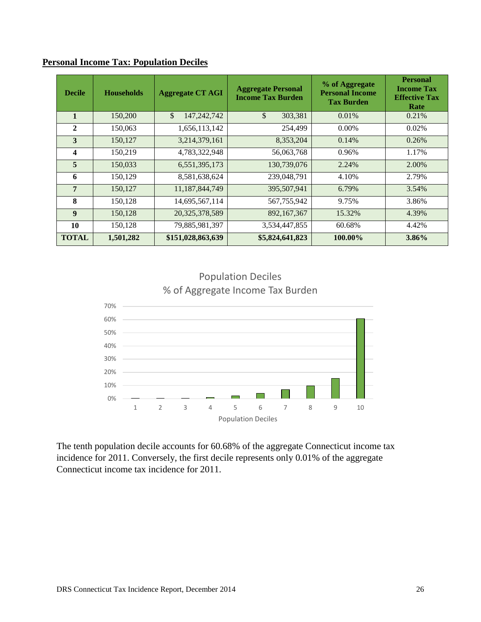| <b>Decile</b>    | <b>Households</b> | <b>Aggregate CT AGI</b> | <b>Aggregate Personal</b><br><b>Income Tax Burden</b> | % of Aggregate<br><b>Personal Income</b><br><b>Tax Burden</b> | <b>Personal</b><br><b>Income Tax</b><br><b>Effective Tax</b><br>Rate |
|------------------|-------------------|-------------------------|-------------------------------------------------------|---------------------------------------------------------------|----------------------------------------------------------------------|
| $\mathbf{1}$     | 150,200           | \$<br>147, 242, 742     | $\mathbb{S}$<br>303,381                               | 0.01%                                                         | 0.21%                                                                |
| $\mathbf{2}$     | 150,063           | 1,656,113,142           | 254,499                                               | $0.00\%$                                                      | 0.02%                                                                |
| 3                | 150,127           | 3,214,379,161           | 8,353,204                                             | 0.14%                                                         | 0.26%                                                                |
| 4                | 150,219           | 4,783,322,948           | 56,063,768                                            | 0.96%                                                         | 1.17%                                                                |
| 5                | 150,033           | 6,551,395,173           | 130,739,076                                           | 2.24%                                                         | 2.00%                                                                |
| 6                | 150,129           | 8,581,638,624           | 239,048,791                                           | 4.10%                                                         | 2.79%                                                                |
| $\overline{7}$   | 150,127           | 11,187,844,749          | 395,507,941                                           | 6.79%                                                         | 3.54%                                                                |
| 8                | 150,128           | 14,695,567,114          | 567,755,942                                           | 9.75%                                                         | 3.86%                                                                |
| $\boldsymbol{9}$ | 150,128           | 20,325,378,589          | 892,167,367                                           | 15.32%                                                        | 4.39%                                                                |
| 10               | 150,128           | 79,885,981,397          | 3,534,447,855                                         | 60.68%                                                        | 4.42%                                                                |
| <b>TOTAL</b>     | 1,501,282         | \$151,028,863,639       | \$5,824,641,823                                       | 100.00%                                                       | 3.86%                                                                |

#### **Personal Income Tax: Population Deciles**



Population Deciles % of Aggregate Income Tax Burden

The tenth population decile accounts for 60.68% of the aggregate Connecticut income tax incidence for 2011. Conversely, the first decile represents only 0.01% of the aggregate Connecticut income tax incidence for 2011.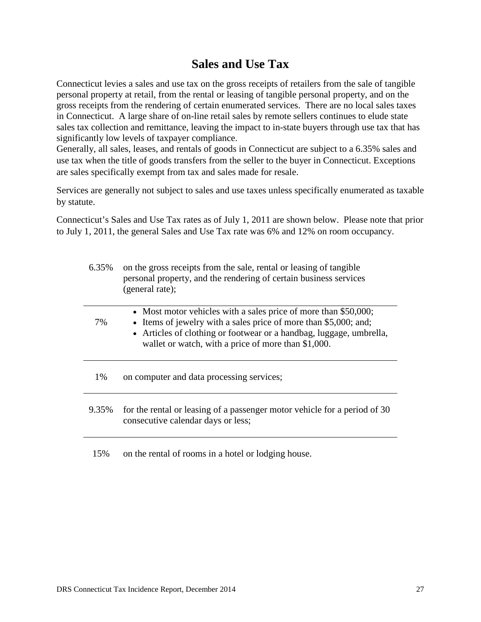### **Sales and Use Tax**

Connecticut levies a sales and use tax on the gross receipts of retailers from the sale of tangible personal property at retail, from the rental or leasing of tangible personal property, and on the gross receipts from the rendering of certain enumerated services. There are no local sales taxes in Connecticut. A large share of on-line retail sales by remote sellers continues to elude state sales tax collection and remittance, leaving the impact to in-state buyers through use tax that has significantly low levels of taxpayer compliance.

Generally, all sales, leases, and rentals of goods in Connecticut are subject to a 6.35% sales and use tax when the title of goods transfers from the seller to the buyer in Connecticut. Exceptions are sales specifically exempt from tax and sales made for resale.

Services are generally not subject to sales and use taxes unless specifically enumerated as taxable by statute.

Connecticut's Sales and Use Tax rates as of July 1, 2011 are shown below. Please note that prior to July 1, 2011, the general Sales and Use Tax rate was 6% and 12% on room occupancy.

| 6.35% | on the gross receipts from the sale, rental or leasing of tangible<br>personal property, and the rendering of certain business services<br>(general rate);                                                                                                        |
|-------|-------------------------------------------------------------------------------------------------------------------------------------------------------------------------------------------------------------------------------------------------------------------|
| 7%    | • Most motor vehicles with a sales price of more than \$50,000;<br>• Items of jewelry with a sales price of more than \$5,000; and;<br>• Articles of clothing or footwear or a handbag, luggage, umbrella,<br>wallet or watch, with a price of more than \$1,000. |
| 1%    | on computer and data processing services;                                                                                                                                                                                                                         |
| 9.35% | for the rental or leasing of a passenger motor vehicle for a period of 30<br>consecutive calendar days or less;                                                                                                                                                   |
| 15%   | on the rental of rooms in a hotel or lodging house.                                                                                                                                                                                                               |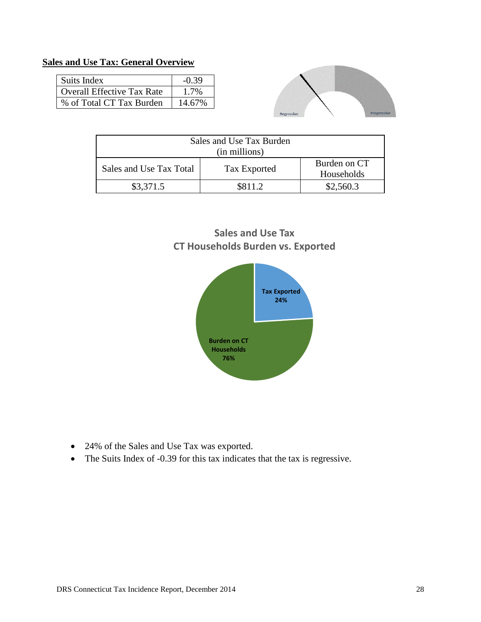### **Sales and Use Tax: General Overview**

| Suits Index                       | $-0.39$ |
|-----------------------------------|---------|
| <b>Overall Effective Tax Rate</b> | 1.7%    |
| % of Total CT Tax Burden          | 14.67%  |



| Sales and Use Tax Burden<br>(in millions) |              |                            |  |  |
|-------------------------------------------|--------------|----------------------------|--|--|
| Sales and Use Tax Total                   | Tax Exported | Burden on CT<br>Households |  |  |
| \$3,371.5                                 | \$811.2      | \$2,560.3                  |  |  |

### **Sales and Use Tax CT Households Burden vs. Exported**



- 24% of the Sales and Use Tax was exported.
- The Suits Index of -0.39 for this tax indicates that the tax is regressive.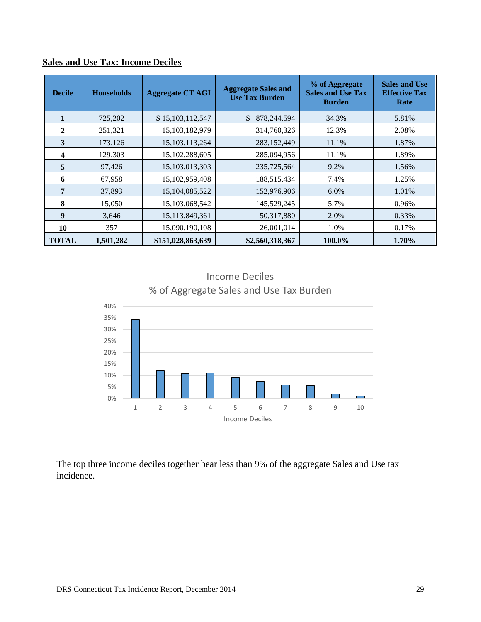| <b>Decile</b>  | <b>Households</b> | <b>Aggregate CT AGI</b> | <b>Aggregate Sales and</b><br><b>Use Tax Burden</b> | % of Aggregate<br><b>Sales and Use Tax</b><br><b>Burden</b> | <b>Sales and Use</b><br><b>Effective Tax</b><br>Rate |
|----------------|-------------------|-------------------------|-----------------------------------------------------|-------------------------------------------------------------|------------------------------------------------------|
|                | 725,202           | \$15,103,112,547        | $\mathcal{S}$<br>878,244,594                        | 34.3%                                                       | 5.81%                                                |
| $\overline{2}$ | 251,321           | 15,103,182,979          | 314,760,326                                         | 12.3%                                                       | 2.08%                                                |
| 3              | 173,126           | 15, 103, 113, 264       | 283,152,449                                         | 11.1%                                                       | 1.87%                                                |
| 4              | 129,303           | 15, 102, 288, 605       | 285,094,956                                         | 11.1%                                                       | 1.89%                                                |
| 5              | 97,426            | 15, 103, 013, 303       | 235,725,564                                         | 9.2%                                                        | 1.56%                                                |
| 6              | 67,958            | 15,102,959,408          | 188,515,434                                         | 7.4%                                                        | 1.25%                                                |
| 7              | 37,893            | 15,104,085,522          | 152,976,906                                         | 6.0%                                                        | 1.01%                                                |
| 8              | 15,050            | 15,103,068,542          | 145,529,245                                         | 5.7%                                                        | 0.96%                                                |
| 9              | 3,646             | 15,113,849,361          | 50,317,880                                          | 2.0%                                                        | 0.33%                                                |
| 10             | 357               | 15,090,190,108          | 26,001,014                                          | 1.0%                                                        | 0.17%                                                |
| <b>TOTAL</b>   | 1,501,282         | \$151,028,863,639       | \$2,560,318,367                                     | 100.0%                                                      | 1.70%                                                |

### **Sales and Use Tax: Income Deciles**

Income Deciles % of Aggregate Sales and Use Tax Burden



The top three income deciles together bear less than 9% of the aggregate Sales and Use tax incidence.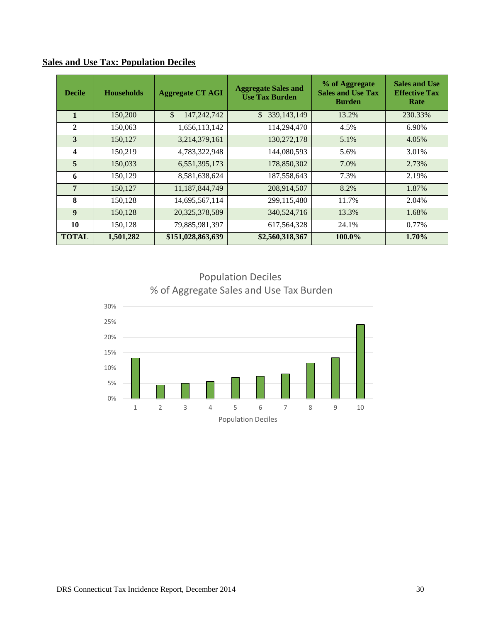| <b>Decile</b>  | <b>Households</b> | <b>Aggregate CT AGI</b> | <b>Aggregate Sales and</b><br><b>Use Tax Burden</b> | % of Aggregate<br><b>Sales and Use Tax</b><br><b>Burden</b> | <b>Sales and Use</b><br><b>Effective Tax</b><br>Rate |
|----------------|-------------------|-------------------------|-----------------------------------------------------|-------------------------------------------------------------|------------------------------------------------------|
| 1              | 150,200           | \$<br>147,242,742       | 339, 143, 149<br>\$                                 | 13.2%                                                       | 230.33%                                              |
| $\mathbf{2}$   | 150,063           | 1,656,113,142           | 114,294,470                                         | 4.5%                                                        | 6.90%                                                |
| 3              | 150,127           | 3,214,379,161           | 130,272,178                                         | 5.1%                                                        | 4.05%                                                |
| 4              | 150,219           | 4,783,322,948           | 144,080,593                                         | 5.6%                                                        | 3.01%                                                |
| 5              | 150,033           | 6,551,395,173           | 178,850,302                                         | 7.0%                                                        | 2.73%                                                |
| 6              | 150,129           | 8,581,638,624           | 187,558,643                                         | 7.3%                                                        | 2.19%                                                |
| $\overline{7}$ | 150,127           | 11,187,844,749          | 208,914,507                                         | 8.2%                                                        | 1.87%                                                |
| 8              | 150,128           | 14,695,567,114          | 299,115,480                                         | 11.7%                                                       | 2.04%                                                |
| 9              | 150,128           | 20,325,378,589          | 340,524,716                                         | 13.3%                                                       | 1.68%                                                |
| 10             | 150,128           | 79,885,981,397          | 617, 564, 328                                       | 24.1%                                                       | 0.77%                                                |
| <b>TOTAL</b>   | 1,501,282         | \$151,028,863,639       | \$2,560,318,367                                     | 100.0%                                                      | 1.70%                                                |

### **Sales and Use Tax: Population Deciles**

Population Deciles % of Aggregate Sales and Use Tax Burden

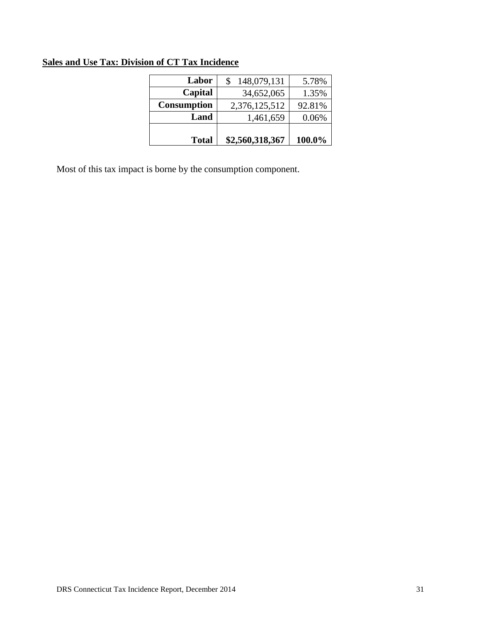### **Sales and Use Tax: Division of CT Tax Incidence**

| <b>Total</b>       | \$2,560,318,367 | 100.0% |
|--------------------|-----------------|--------|
| Land               | 1,461,659       | 0.06%  |
| <b>Consumption</b> | 2,376,125,512   | 92.81% |
| Capital            | 34,652,065      | 1.35%  |
| Labor              | 148,079,131     | 5.78%  |
|                    |                 |        |

Most of this tax impact is borne by the consumption component.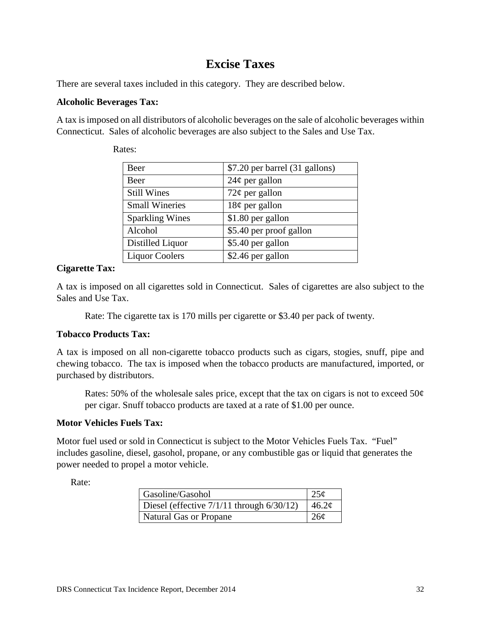### **Excise Taxes**

There are several taxes included in this category. They are described below.

#### **Alcoholic Beverages Tax:**

A tax is imposed on all distributors of alcoholic beverages on the sale of alcoholic beverages within Connecticut. Sales of alcoholic beverages are also subject to the Sales and Use Tax.

| Beer                   | \$7.20 per barrel (31 gallons) |
|------------------------|--------------------------------|
| Beer                   | $24¢$ per gallon               |
| <b>Still Wines</b>     | $72¢$ per gallon               |
| <b>Small Wineries</b>  | $18¢$ per gallon               |
| <b>Sparkling Wines</b> | \$1.80 per gallon              |
| Alcohol                | \$5.40 per proof gallon        |
| Distilled Liquor       | \$5.40 per gallon              |
| <b>Liquor Coolers</b>  | \$2.46 per gallon              |

Rates:

### **Cigarette Tax:**

A tax is imposed on all cigarettes sold in Connecticut. Sales of cigarettes are also subject to the Sales and Use Tax.

Rate: The cigarette tax is 170 mills per cigarette or \$3.40 per pack of twenty.

#### **Tobacco Products Tax:**

A tax is imposed on all non-cigarette tobacco products such as cigars, stogies, snuff, pipe and chewing tobacco. The tax is imposed when the tobacco products are manufactured, imported, or purchased by distributors.

Rates: 50% of the wholesale sales price, except that the tax on cigars is not to exceed 50 $\varphi$ per cigar. Snuff tobacco products are taxed at a rate of \$1.00 per ounce.

### **Motor Vehicles Fuels Tax:**

Motor fuel used or sold in Connecticut is subject to the Motor Vehicles Fuels Tax. "Fuel" includes gasoline, diesel, gasohol, propane, or any combustible gas or liquid that generates the power needed to propel a motor vehicle.

Rate:

| Gasoline/Gasohol                               |                   |
|------------------------------------------------|-------------------|
| Diesel (effective $7/1/11$ through $6/30/12$ ) | 46.2 <sub>c</sub> |
| <b>Natural Gas or Propane</b>                  | 26 <sub>c</sub>   |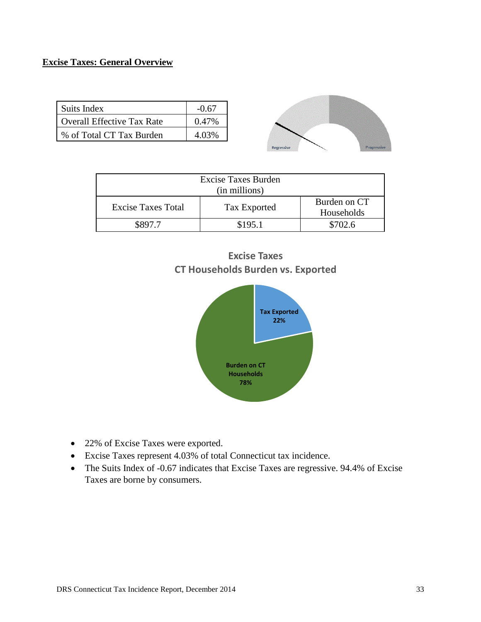#### **Excise Taxes: General Overview**

| Suits Index                       | $-0.67$  |
|-----------------------------------|----------|
| <b>Overall Effective Tax Rate</b> | $0.47\%$ |
| % of Total CT Tax Burden          | 4.03%    |



| <b>Excise Taxes Burden</b><br>(in millions) |              |                            |
|---------------------------------------------|--------------|----------------------------|
| <b>Excise Taxes Total</b>                   | Tax Exported | Burden on CT<br>Households |
|                                             | \$195.1      | \$702.6                    |





- 22% of Excise Taxes were exported.
- Excise Taxes represent 4.03% of total Connecticut tax incidence.
- The Suits Index of -0.67 indicates that Excise Taxes are regressive. 94.4% of Excise Taxes are borne by consumers.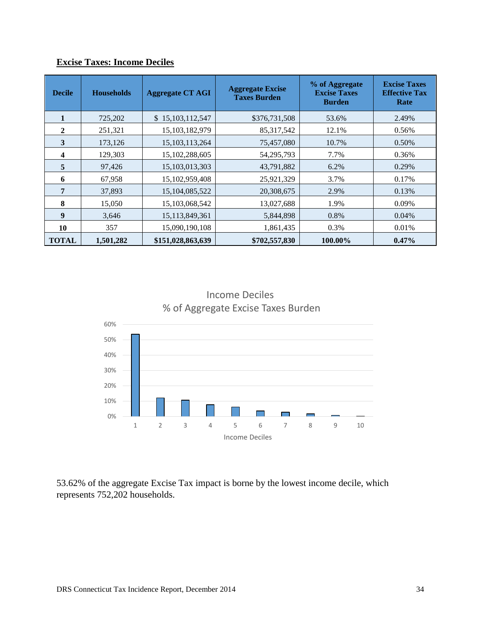| <b>Decile</b>           | <b>Households</b> | <b>Aggregate CT AGI</b> | <b>Aggregate Excise</b><br><b>Taxes Burden</b> | % of Aggregate<br><b>Excise Taxes</b><br><b>Burden</b> | <b>Excise Taxes</b><br><b>Effective Tax</b><br>Rate |
|-------------------------|-------------------|-------------------------|------------------------------------------------|--------------------------------------------------------|-----------------------------------------------------|
|                         | 725,202           | \$15,103,112,547        | \$376,731,508                                  | 53.6%                                                  | 2.49%                                               |
| 2                       | 251,321           | 15,103,182,979          | 85, 317, 542                                   | 12.1%                                                  | 0.56%                                               |
| 3                       | 173,126           | 15, 103, 113, 264       | 75,457,080                                     | 10.7%                                                  | 0.50%                                               |
| $\overline{\mathbf{4}}$ | 129,303           | 15,102,288,605          | 54,295,793                                     | 7.7%                                                   | 0.36%                                               |
| 5                       | 97,426            | 15,103,013,303          | 43,791,882                                     | 6.2%                                                   | 0.29%                                               |
| 6                       | 67,958            | 15, 102, 959, 408       | 25,921,329                                     | 3.7%                                                   | 0.17%                                               |
| 7                       | 37,893            | 15,104,085,522          | 20,308,675                                     | 2.9%                                                   | 0.13%                                               |
| 8                       | 15,050            | 15,103,068,542          | 13,027,688                                     | 1.9%                                                   | 0.09%                                               |
| 9                       | 3,646             | 15, 113, 849, 361       | 5,844,898                                      | 0.8%                                                   | 0.04%                                               |
| 10                      | 357               | 15,090,190,108          | 1,861,435                                      | 0.3%                                                   | 0.01%                                               |
| <b>TOTAL</b>            | 1,501,282         | \$151,028,863,639       | \$702,557,830                                  | 100.00%                                                | $0.47\%$                                            |

### **Excise Taxes: Income Deciles**

Income Deciles % of Aggregate Excise Taxes Burden



53.62% of the aggregate Excise Tax impact is borne by the lowest income decile, which represents 752,202 households.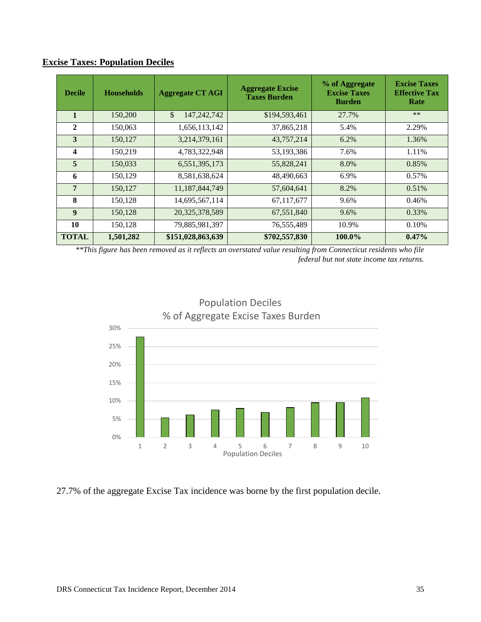| <b>Excise Taxes: Population Deciles</b> |  |  |  |  |  |
|-----------------------------------------|--|--|--|--|--|
|-----------------------------------------|--|--|--|--|--|

| <b>Decile</b>           | <b>Households</b> | <b>Aggregate CT AGI</b> | <b>Aggregate Excise</b><br><b>Taxes Burden</b> | % of Aggregate<br><b>Excise Taxes</b><br><b>Burden</b> | <b>Excise Taxes</b><br><b>Effective Tax</b><br>Rate |
|-------------------------|-------------------|-------------------------|------------------------------------------------|--------------------------------------------------------|-----------------------------------------------------|
| 1                       | 150,200           | \$<br>147,242,742       | \$194,593,461                                  | 27.7%                                                  | $**$                                                |
| 2                       | 150,063           | 1,656,113,142           | 37,865,218                                     | 5.4%                                                   | 2.29%                                               |
| 3                       | 150,127           | 3,214,379,161           | 43,757,214                                     | 6.2%                                                   | 1.36%                                               |
| $\overline{\mathbf{4}}$ | 150,219           | 4,783,322,948           | 53,193,386                                     | 7.6%                                                   | 1.11%                                               |
| 5                       | 150,033           | 6,551,395,173           | 55,828,241                                     | 8.0%                                                   | 0.85%                                               |
| 6                       | 150,129           | 8,581,638,624           | 48,490,663                                     | 6.9%                                                   | 0.57%                                               |
| $\overline{7}$          | 150,127           | 11,187,844,749          | 57,604,641                                     | 8.2%                                                   | 0.51%                                               |
| 8                       | 150,128           | 14,695,567,114          | 67,117,677                                     | 9.6%                                                   | 0.46%                                               |
| $\boldsymbol{9}$        | 150,128           | 20, 325, 378, 589       | 67,551,840                                     | 9.6%                                                   | 0.33%                                               |
| 10                      | 150,128           | 79,885,981,397          | 76,555,489                                     | 10.9%                                                  | 0.10%                                               |
| <b>TOTAL</b>            | 1,501,282         | \$151,028,863,639       | \$702,557,830                                  | 100.0%                                                 | $0.47\%$                                            |

*\*\*This figure has been removed as it reflects an overstated value resulting from Connecticut residents who file federal but not state income tax returns.*



27.7% of the aggregate Excise Tax incidence was borne by the first population decile.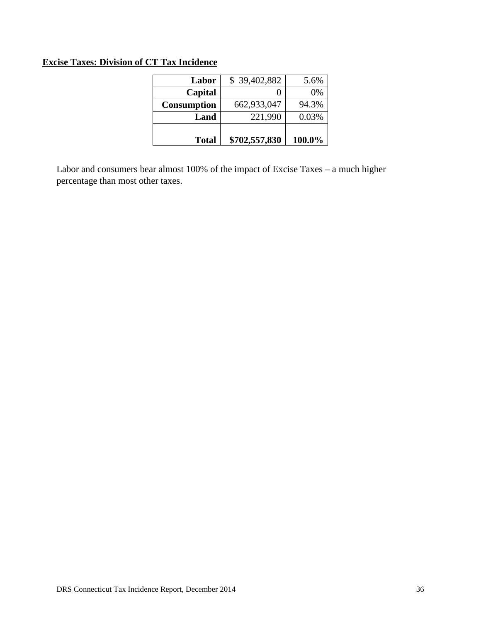### **Excise Taxes: Division of CT Tax Incidence**

| <b>Total</b>       | \$702,557,830 | 100.0% |
|--------------------|---------------|--------|
| Land               | 221,990       | 0.03%  |
| <b>Consumption</b> | 662,933,047   | 94.3%  |
| Capital            |               | 0%     |
| Labor              | \$39,402,882  | 5.6%   |

Labor and consumers bear almost 100% of the impact of Excise Taxes – a much higher percentage than most other taxes.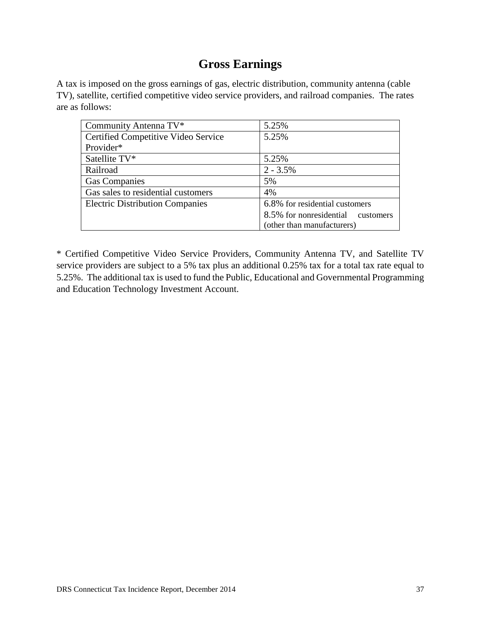### **Gross Earnings**

A tax is imposed on the gross earnings of gas, electric distribution, community antenna (cable TV), satellite, certified competitive video service providers, and railroad companies. The rates are as follows:

| Community Antenna TV*                  | 5.25%                                |
|----------------------------------------|--------------------------------------|
| Certified Competitive Video Service    | 5.25%                                |
| Provider*                              |                                      |
| Satellite TV*                          | 5.25%                                |
| Railroad                               | $2 - 3.5\%$                          |
| <b>Gas Companies</b>                   | 5%                                   |
| Gas sales to residential customers     | 4%                                   |
| <b>Electric Distribution Companies</b> | 6.8% for residential customers       |
|                                        | 8.5% for nonresidential<br>customers |
|                                        | (other than manufacturers)           |

\* Certified Competitive Video Service Providers, Community Antenna TV, and Satellite TV service providers are subject to a 5% tax plus an additional 0.25% tax for a total tax rate equal to 5.25%. The additional tax is used to fund the Public, Educational and Governmental Programming and Education Technology Investment Account.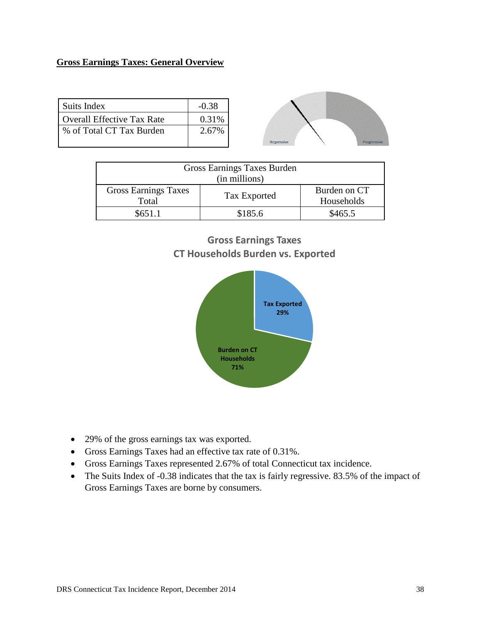### **Gross Earnings Taxes: General Overview**

| Suits Index                | $-0.38$ |
|----------------------------|---------|
| Overall Effective Tax Rate | 0.31%   |
| % of Total CT Tax Burden   | 2.67%   |
|                            |         |



| Gross Earnings Taxes Burden<br>(in millions) |         |         |  |  |
|----------------------------------------------|---------|---------|--|--|
|                                              |         |         |  |  |
| <b>Gross Earnings Taxes</b><br>Burden on CT  |         |         |  |  |
| Tax Exported<br>Households<br>Total          |         |         |  |  |
| \$651.1                                      | \$185.6 | \$465.5 |  |  |

### **Gross Earnings Taxes CT Households Burden vs. Exported**



- 29% of the gross earnings tax was exported.
- Gross Earnings Taxes had an effective tax rate of 0.31%.
- Gross Earnings Taxes represented 2.67% of total Connecticut tax incidence.
- The Suits Index of -0.38 indicates that the tax is fairly regressive. 83.5% of the impact of Gross Earnings Taxes are borne by consumers.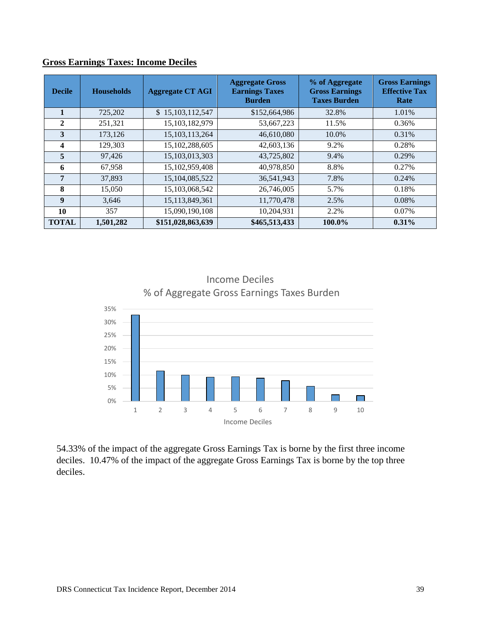| <b>Decile</b> | <b>Households</b> | <b>Aggregate CT AGI</b> | <b>Aggregate Gross</b><br><b>Earnings Taxes</b><br><b>Burden</b> | % of Aggregate<br><b>Gross Earnings</b><br><b>Taxes Burden</b> | <b>Gross Earnings</b><br><b>Effective Tax</b><br>Rate |
|---------------|-------------------|-------------------------|------------------------------------------------------------------|----------------------------------------------------------------|-------------------------------------------------------|
| 1             | 725,202           | \$15,103,112,547        | \$152,664,986                                                    | 32.8%                                                          | 1.01%                                                 |
| $\mathbf{2}$  | 251,321           | 15, 103, 182, 979       | 53,667,223                                                       | 11.5%                                                          | 0.36%                                                 |
| 3             | 173,126           | 15, 103, 113, 264       | 46,610,080                                                       | 10.0%                                                          | 0.31%                                                 |
| 4             | 129,303           | 15,102,288,605          | 42,603,136                                                       | 9.2%                                                           | 0.28%                                                 |
| 5             | 97,426            | 15,103,013,303          | 43,725,802                                                       | 9.4%                                                           | 0.29%                                                 |
| 6             | 67,958            | 15,102,959,408          | 40,978,850                                                       | 8.8%                                                           | 0.27%                                                 |
| 7             | 37,893            | 15,104,085,522          | 36,541,943                                                       | 7.8%                                                           | 0.24%                                                 |
| 8             | 15,050            | 15,103,068,542          | 26,746,005                                                       | 5.7%                                                           | 0.18%                                                 |
| 9             | 3,646             | 15,113,849,361          | 11,770,478                                                       | 2.5%                                                           | 0.08%                                                 |
| 10            | 357               | 15,090,190,108          | 10,204,931                                                       | 2.2%                                                           | 0.07%                                                 |
| <b>TOTAL</b>  | 1,501,282         | \$151,028,863,639       | \$465,513,433                                                    | 100.0%                                                         | 0.31%                                                 |

### **Gross Earnings Taxes: Income Deciles**



Income Deciles

54.33% of the impact of the aggregate Gross Earnings Tax is borne by the first three income deciles. 10.47% of the impact of the aggregate Gross Earnings Tax is borne by the top three deciles.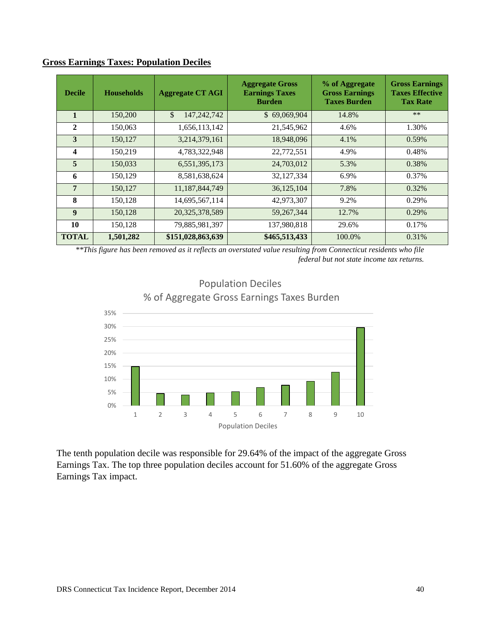| <b>Decile</b>    | <b>Households</b> | <b>Aggregate CT AGI</b> | <b>Aggregate Gross</b><br><b>Earnings Taxes</b><br><b>Burden</b> | % of Aggregate<br><b>Gross Earnings</b><br><b>Taxes Burden</b> | <b>Gross Earnings</b><br><b>Taxes Effective</b><br><b>Tax Rate</b> |
|------------------|-------------------|-------------------------|------------------------------------------------------------------|----------------------------------------------------------------|--------------------------------------------------------------------|
| 1                | 150,200           | \$<br>147,242,742       | \$69,069,904                                                     | 14.8%                                                          | $**$                                                               |
| $\mathbf{2}$     | 150,063           | 1,656,113,142           | 21,545,962                                                       | 4.6%                                                           | 1.30%                                                              |
| 3                | 150,127           | 3,214,379,161           | 18,948,096                                                       | 4.1%                                                           | 0.59%                                                              |
| 4                | 150,219           | 4,783,322,948           | 22,772,551                                                       | 4.9%                                                           | 0.48%                                                              |
| $\overline{5}$   | 150,033           | 6,551,395,173           | 24,703,012                                                       | 5.3%                                                           | 0.38%                                                              |
| 6                | 150,129           | 8,581,638,624           | 32,127,334                                                       | 6.9%                                                           | 0.37%                                                              |
| $\overline{7}$   | 150,127           | 11,187,844,749          | 36,125,104                                                       | 7.8%                                                           | 0.32%                                                              |
| 8                | 150,128           | 14,695,567,114          | 42,973,307                                                       | 9.2%                                                           | 0.29%                                                              |
| $\boldsymbol{9}$ | 150,128           | 20,325,378,589          | 59, 267, 344                                                     | 12.7%                                                          | 0.29%                                                              |
| 10               | 150,128           | 79,885,981,397          | 137,980,818                                                      | 29.6%                                                          | 0.17%                                                              |
| <b>TOTAL</b>     | 1,501,282         | \$151,028,863,639       | \$465,513,433                                                    | 100.0%                                                         | 0.31%                                                              |

#### **Gross Earnings Taxes: Population Deciles**

*\*\*This figure has been removed as it reflects an overstated value resulting from Connecticut residents who file federal but not state income tax returns.* 



### Population Deciles % of Aggregate Gross Earnings Taxes Burden

The tenth population decile was responsible for 29.64% of the impact of the aggregate Gross Earnings Tax. The top three population deciles account for 51.60% of the aggregate Gross Earnings Tax impact.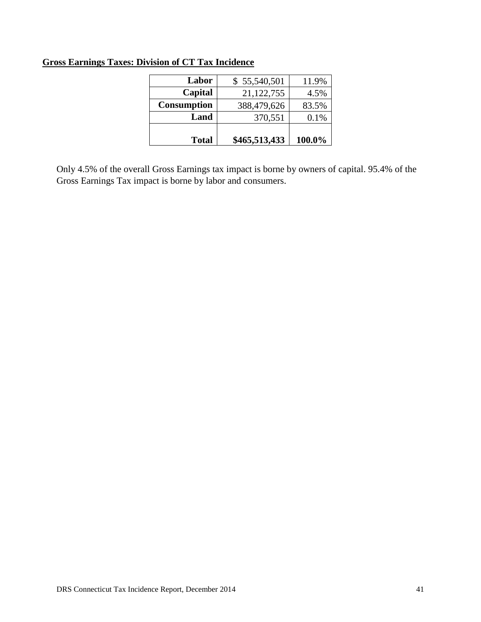| <b>Total</b>       | \$465,513,433 | 100.0% |
|--------------------|---------------|--------|
| Land               | 370,551       | 0.1%   |
| <b>Consumption</b> | 388,479,626   | 83.5%  |
| Capital            | 21,122,755    | 4.5%   |
| Labor              | \$55,540,501  | 11.9%  |

### **Gross Earnings Taxes: Division of CT Tax Incidence**

Only 4.5% of the overall Gross Earnings tax impact is borne by owners of capital. 95.4% of the Gross Earnings Tax impact is borne by labor and consumers.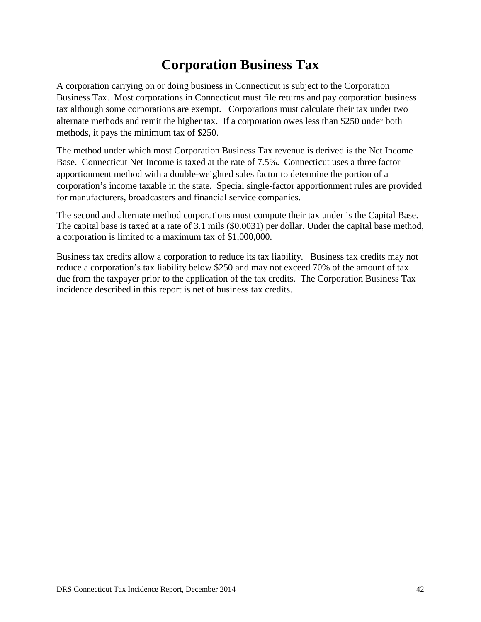### **Corporation Business Tax**

A corporation carrying on or doing business in Connecticut is subject to the Corporation Business Tax. Most corporations in Connecticut must file returns and pay corporation business tax although some corporations are exempt. Corporations must calculate their tax under two alternate methods and remit the higher tax. If a corporation owes less than \$250 under both methods, it pays the minimum tax of \$250.

The method under which most Corporation Business Tax revenue is derived is the Net Income Base. Connecticut Net Income is taxed at the rate of 7.5%. Connecticut uses a three factor apportionment method with a double-weighted sales factor to determine the portion of a corporation's income taxable in the state. Special single-factor apportionment rules are provided for manufacturers, broadcasters and financial service companies.

The second and alternate method corporations must compute their tax under is the Capital Base. The capital base is taxed at a rate of 3.1 mils (\$0.0031) per dollar. Under the capital base method, a corporation is limited to a maximum tax of \$1,000,000.

Business tax credits allow a corporation to reduce its tax liability. Business tax credits may not reduce a corporation's tax liability below \$250 and may not exceed 70% of the amount of tax due from the taxpayer prior to the application of the tax credits. The Corporation Business Tax incidence described in this report is net of business tax credits.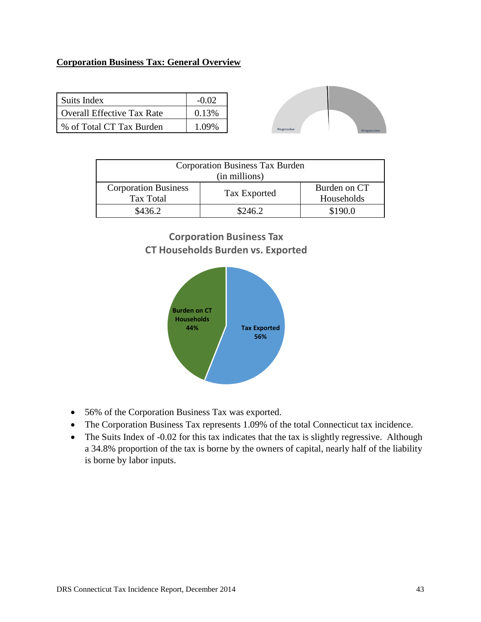### **Corporation Business Tax: General Overview**

| Suits Index                | $-0.02$ |
|----------------------------|---------|
| Overall Effective Tax Rate | 0.13%   |
| % of Total CT Tax Burden   | 1.09%   |



| Corporation Business Tax Burden<br>(in millions) |              |                            |  |
|--------------------------------------------------|--------------|----------------------------|--|
| <b>Corporation Business</b><br>Tax Total         | Tax Exported | Burden on CT<br>Households |  |
| \$436.2                                          | \$246.2      | \$190.0                    |  |



- 56% of the Corporation Business Tax was exported.
- The Corporation Business Tax represents 1.09% of the total Connecticut tax incidence.
- The Suits Index of -0.02 for this tax indicates that the tax is slightly regressive. Although a 34.8% proportion of the tax is borne by the owners of capital, nearly half of the liability is borne by labor inputs.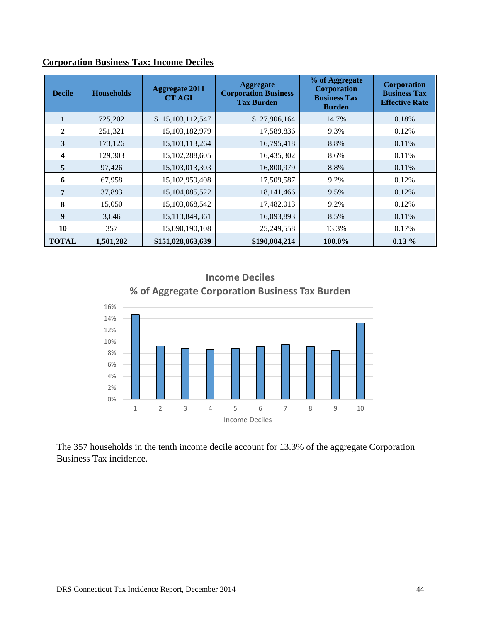| <b>Decile</b>    | <b>Households</b> | <b>Aggregate 2011</b><br><b>CT AGI</b> | <b>Aggregate</b><br><b>Corporation Business</b><br><b>Tax Burden</b> | % of Aggregate<br><b>Corporation</b><br><b>Business Tax</b><br><b>Burden</b> | <b>Corporation</b><br><b>Business Tax</b><br><b>Effective Rate</b> |
|------------------|-------------------|----------------------------------------|----------------------------------------------------------------------|------------------------------------------------------------------------------|--------------------------------------------------------------------|
|                  | 725,202           | \$15,103,112,547                       | \$27,906,164                                                         | 14.7%                                                                        | 0.18%                                                              |
| $\mathbf{2}$     | 251,321           | 15,103,182,979                         | 17,589,836                                                           | 9.3%                                                                         | 0.12%                                                              |
| 3                | 173,126           | 15, 103, 113, 264                      | 16,795,418                                                           | 8.8%                                                                         | 0.11%                                                              |
| 4                | 129,303           | 15,102,288,605                         | 16,435,302                                                           | 8.6%                                                                         | 0.11%                                                              |
| 5                | 97,426            | 15,103,013,303                         | 16,800,979                                                           | 8.8%                                                                         | 0.11%                                                              |
| 6                | 67,958            | 15,102,959,408                         | 17,509,587                                                           | 9.2%                                                                         | 0.12%                                                              |
| 7                | 37,893            | 15,104,085,522                         | 18, 141, 466                                                         | 9.5%                                                                         | 0.12%                                                              |
| 8                | 15,050            | 15,103,068,542                         | 17,482,013                                                           | 9.2%                                                                         | 0.12%                                                              |
| $\boldsymbol{9}$ | 3,646             | 15,113,849,361                         | 16,093,893                                                           | 8.5%                                                                         | 0.11%                                                              |
| 10               | 357               | 15,090,190,108                         | 25,249,558                                                           | 13.3%                                                                        | 0.17%                                                              |
| <b>TOTAL</b>     | 1,501,282         | \$151,028,863,639                      | \$190,004,214                                                        | 100.0%                                                                       | $0.13\%$                                                           |

### **Corporation Business Tax: Income Deciles**





The 357 households in the tenth income decile account for 13.3% of the aggregate Corporation Business Tax incidence.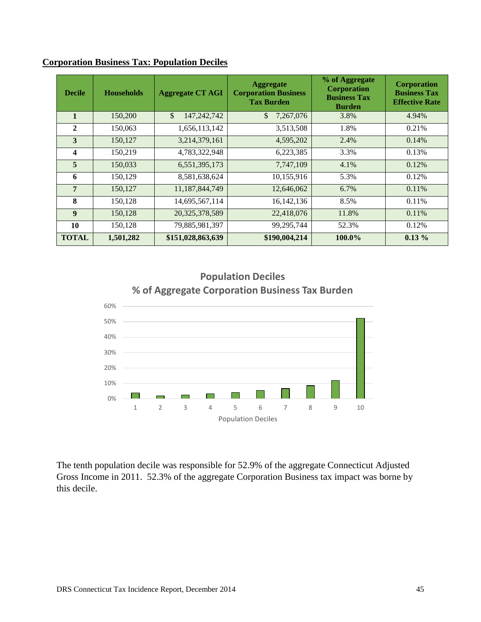| <b>Decile</b>           | <b>Households</b> | <b>Aggregate CT AGI</b> | <b>Aggregate</b><br><b>Corporation Business</b><br><b>Tax Burden</b> | % of Aggregate<br><b>Corporation</b><br><b>Business Tax</b><br><b>Burden</b> | <b>Corporation</b><br><b>Business Tax</b><br><b>Effective Rate</b> |
|-------------------------|-------------------|-------------------------|----------------------------------------------------------------------|------------------------------------------------------------------------------|--------------------------------------------------------------------|
|                         | 150,200           | \$<br>147,242,742       | \$<br>7,267,076                                                      | 3.8%                                                                         | 4.94%                                                              |
| $\overline{2}$          | 150,063           | 1,656,113,142           | 3,513,508                                                            | 1.8%                                                                         | 0.21%                                                              |
| 3                       | 150,127           | 3,214,379,161           | 4,595,202                                                            | 2.4%                                                                         | 0.14%                                                              |
| $\overline{\mathbf{4}}$ | 150,219           | 4,783,322,948           | 6,223,385                                                            | 3.3%                                                                         | 0.13%                                                              |
| 5                       | 150,033           | 6,551,395,173           | 7,747,109                                                            | 4.1%                                                                         | 0.12%                                                              |
| 6                       | 150,129           | 8,581,638,624           | 10,155,916                                                           | 5.3%                                                                         | 0.12%                                                              |
| $\overline{7}$          | 150,127           | 11,187,844,749          | 12,646,062                                                           | 6.7%                                                                         | 0.11%                                                              |
| 8                       | 150,128           | 14,695,567,114          | 16, 142, 136                                                         | 8.5%                                                                         | 0.11%                                                              |
| $\boldsymbol{9}$        | 150,128           | 20,325,378,589          | 22,418,076                                                           | 11.8%                                                                        | 0.11%                                                              |
| 10                      | 150,128           | 79,885,981,397          | 99,295,744                                                           | 52.3%                                                                        | 0.12%                                                              |
| <b>TOTAL</b>            | 1,501,282         | \$151,028,863,639       | \$190,004,214                                                        | 100.0%                                                                       | $0.13\%$                                                           |

#### **Corporation Business Tax: Population Deciles**



1 2 3 4 5 6 7 8 9 10 Population Deciles

 $\Box$ 

**Participate** 

**Population Deciles**

The tenth population decile was responsible for 52.9% of the aggregate Connecticut Adjusted Gross Income in 2011. 52.3% of the aggregate Corporation Business tax impact was borne by this decile.

0% 10%

 $\sim$ 

 $\overline{\phantom{0}}$ 

 $\overline{\phantom{a}}$ 

 $\sim 10$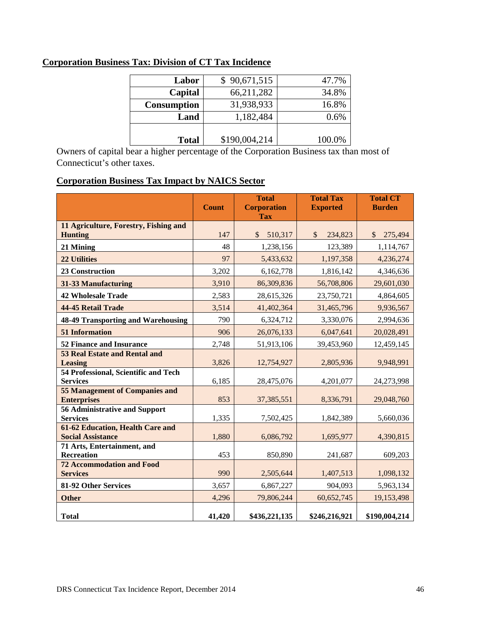| Labor              | \$90,671,515  | 47.7%  |
|--------------------|---------------|--------|
| Capital            | 66,211,282    | 34.8%  |
| <b>Consumption</b> | 31,938,933    | 16.8%  |
| Land               | 1,182,484     | 0.6%   |
|                    |               |        |
| <b>Total</b>       | \$190,004,214 | 100.0% |

### **Corporation Business Tax: Division of CT Tax Incidence**

Owners of capital bear a higher percentage of the Corporation Business tax than most of Connecticut's other taxes.

### **Corporation Business Tax Impact by NAICS Sector**

|                                                                     | <b>Count</b> | <b>Total</b><br><b>Corporation</b><br><b>Tax</b> | <b>Total Tax</b><br><b>Exported</b> | <b>Total CT</b><br><b>Burden</b> |
|---------------------------------------------------------------------|--------------|--------------------------------------------------|-------------------------------------|----------------------------------|
| 11 Agriculture, Forestry, Fishing and<br><b>Hunting</b>             | 147          | 510,317<br>$\mathbb{S}$                          | $\mathcal{S}$<br>234,823            | $\mathcal{S}$<br>275,494         |
| 21 Mining                                                           | 48           | 1,238,156                                        | 123,389                             | 1,114,767                        |
| <b>22 Utilities</b>                                                 | 97           | 5,433,632                                        | 1,197,358                           | 4,236,274                        |
| <b>23 Construction</b>                                              | 3,202        | 6,162,778                                        | 1,816,142                           | 4,346,636                        |
| 31-33 Manufacturing                                                 | 3,910        | 86,309,836                                       | 56,708,806                          | 29,601,030                       |
| <b>42 Wholesale Trade</b>                                           | 2,583        | 28,615,326                                       | 23,750,721                          | 4,864,605                        |
| 44-45 Retail Trade                                                  | 3,514        | 41,402,364                                       | 31,465,796                          | 9,936,567                        |
| <b>48-49 Transporting and Warehousing</b>                           | 790          | 6,324,712                                        | 3,330,076                           | 2,994,636                        |
| <b>51 Information</b>                                               | 906          | 26,076,133                                       | 6,047,641                           | 20,028,491                       |
| <b>52 Finance and Insurance</b>                                     | 2,748        | 51,913,106                                       | 39,453,960                          | 12,459,145                       |
| <b>53 Real Estate and Rental and</b><br><b>Leasing</b>              | 3,826        | 12,754,927                                       | 2,805,936                           | 9,948,991                        |
| 54 Professional, Scientific and Tech<br><b>Services</b>             | 6,185        | 28,475,076                                       | 4,201,077                           | 24,273,998                       |
| <b>55 Management of Companies and</b><br><b>Enterprises</b>         | 853          | 37, 385, 551                                     | 8,336,791                           | 29,048,760                       |
| <b>56 Administrative and Support</b><br><b>Services</b>             | 1,335        | 7,502,425                                        | 1,842,389                           | 5,660,036                        |
| <b>61-62 Education, Health Care and</b><br><b>Social Assistance</b> | 1,880        | 6,086,792                                        | 1,695,977                           | 4,390,815                        |
| 71 Arts, Entertainment, and<br><b>Recreation</b>                    | 453          | 850,890                                          | 241,687                             | 609,203                          |
| <b>72 Accommodation and Food</b><br><b>Services</b>                 | 990          | 2,505,644                                        | 1,407,513                           | 1,098,132                        |
| 81-92 Other Services                                                | 3,657        | 6,867,227                                        | 904,093                             | 5,963,134                        |
| <b>Other</b>                                                        | 4,296        | 79,806,244                                       | 60,652,745                          | 19,153,498                       |
| <b>Total</b>                                                        | 41,420       | \$436,221,135                                    | \$246,216,921                       | \$190,004,214                    |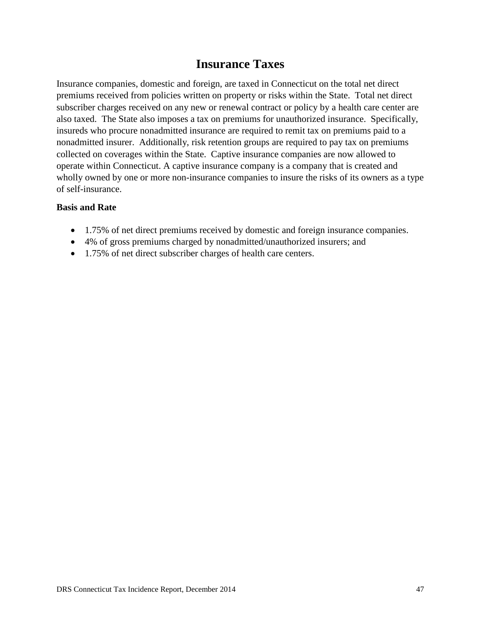### **Insurance Taxes**

Insurance companies, domestic and foreign, are taxed in Connecticut on the total net direct premiums received from policies written on property or risks within the State. Total net direct subscriber charges received on any new or renewal contract or policy by a health care center are also taxed. The State also imposes a tax on premiums for unauthorized insurance. Specifically, insureds who procure nonadmitted insurance are required to remit tax on premiums paid to a nonadmitted insurer. Additionally, risk retention groups are required to pay tax on premiums collected on coverages within the State. Captive insurance companies are now allowed to operate within Connecticut. A captive insurance company is a company that is created and wholly owned by one or more non-insurance companies to insure the risks of its owners as a type of self-insurance.

#### **Basis and Rate**

- 1.75% of net direct premiums received by domestic and foreign insurance companies.
- 4% of gross premiums charged by nonadmitted/unauthorized insurers; and
- 1.75% of net direct subscriber charges of health care centers.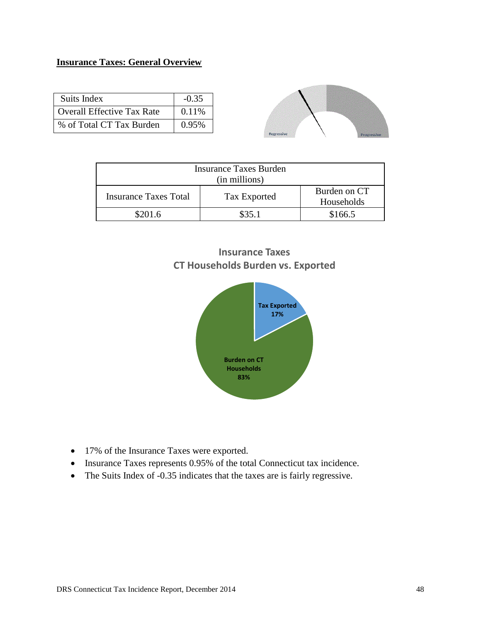### **Insurance Taxes: General Overview**

| Suits Index                       | $-0.35$ |
|-----------------------------------|---------|
| <b>Overall Effective Tax Rate</b> | 0.11%   |
| % of Total CT Tax Burden          | 0.95%   |



| Insurance Taxes Burden<br>(in millions) |              |                            |  |  |
|-----------------------------------------|--------------|----------------------------|--|--|
| Insurance Taxes Total                   | Tax Exported | Burden on CT<br>Households |  |  |
| \$201.6                                 | \$35.1       | \$166.5                    |  |  |

### **Insurance Taxes CT Households Burden vs. Exported**



- 17% of the Insurance Taxes were exported.
- Insurance Taxes represents 0.95% of the total Connecticut tax incidence.
- The Suits Index of -0.35 indicates that the taxes are is fairly regressive.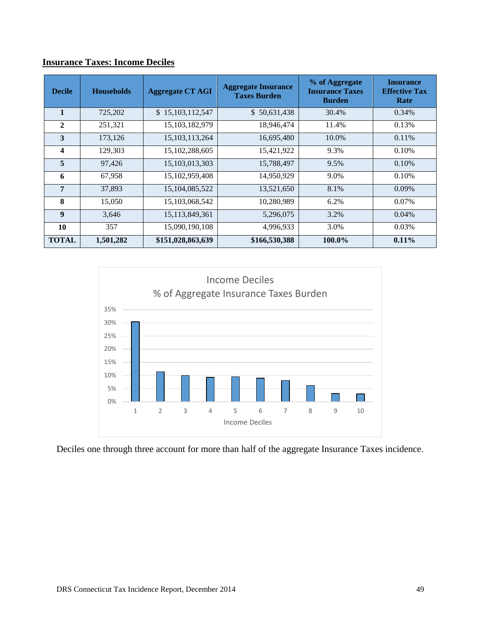|               | msurance Taxes: Income Decnes |                         |                                                   |                                                           |                                                  |  |
|---------------|-------------------------------|-------------------------|---------------------------------------------------|-----------------------------------------------------------|--------------------------------------------------|--|
| <b>Decile</b> | <b>Households</b>             | <b>Aggregate CT AGI</b> | <b>Aggregate Insurance</b><br><b>Taxes Burden</b> | % of Aggregate<br><b>Insurance Taxes</b><br><b>Burden</b> | <b>Insurance</b><br><b>Effective Tax</b><br>Rate |  |
| 1             | 725,202                       | \$15,103,112,547        | \$50,631,438                                      | 30.4%                                                     | 0.34%                                            |  |
| $\mathbf{2}$  | 251,321                       | 15,103,182,979          | 18,946,474                                        | 11.4%                                                     | 0.13%                                            |  |
| 3             | 173,126                       | 15, 103, 113, 264       | 16,695,480                                        | 10.0%                                                     | 0.11%                                            |  |
| 4             | 129,303                       | 15,102,288,605          | 15,421,922                                        | 9.3%                                                      | 0.10%                                            |  |
| 5             | 97,426                        | 15, 103, 013, 303       | 15,788,497                                        | 9.5%                                                      | 0.10%                                            |  |
| 6             | 67,958                        | 15,102,959,408          | 14,950,929                                        | 9.0%                                                      | 0.10%                                            |  |
| 7             | 37,893                        | 15,104,085,522          | 13,521,650                                        | 8.1%                                                      | $0.09\%$                                         |  |
| 8             | 15,050                        | 15,103,068,542          | 10,280,989                                        | 6.2%                                                      | 0.07%                                            |  |
| 9             | 3,646                         | 15, 113, 849, 361       | 5,296,075                                         | 3.2%                                                      | 0.04%                                            |  |

### **Insurance Taxes: Income Deciles**



**10** 357 15,090,190,108 4,996,933 3.0% 0.03% **TOTAL 1,501,282 \$151,028,863,639 \$166,530,388 100.0% 0.11%**

Deciles one through three account for more than half of the aggregate Insurance Taxes incidence.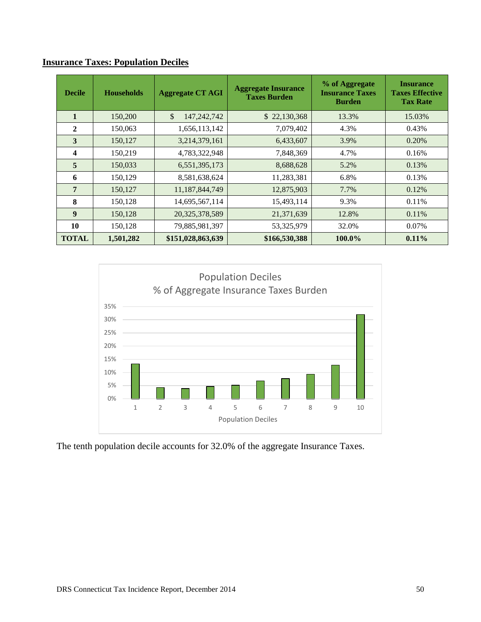| <b>Decile</b>    | <b>Households</b> | <b>Aggregate CT AGI</b> | <b>Aggregate Insurance</b><br><b>Taxes Burden</b> | % of Aggregate<br><b>Insurance Taxes</b><br><b>Burden</b> | <b>Insurance</b><br><b>Taxes Effective</b><br><b>Tax Rate</b> |
|------------------|-------------------|-------------------------|---------------------------------------------------|-----------------------------------------------------------|---------------------------------------------------------------|
| $\mathbf{1}$     | 150,200           | \$<br>147,242,742       | \$22,130,368                                      | 13.3%                                                     | 15.03%                                                        |
| $\mathbf{2}$     | 150,063           | 1,656,113,142           | 7,079,402                                         | 4.3%                                                      | 0.43%                                                         |
| 3                | 150,127           | 3,214,379,161           | 6,433,607                                         | 3.9%                                                      | 0.20%                                                         |
| 4                | 150,219           | 4,783,322,948           | 7,848,369                                         | 4.7%                                                      | 0.16%                                                         |
| 5                | 150,033           | 6,551,395,173           | 8,688,628                                         | 5.2%                                                      | 0.13%                                                         |
| 6                | 150,129           | 8,581,638,624           | 11,283,381                                        | 6.8%                                                      | 0.13%                                                         |
| 7                | 150,127           | 11,187,844,749          | 12,875,903                                        | 7.7%                                                      | 0.12%                                                         |
| 8                | 150,128           | 14,695,567,114          | 15,493,114                                        | 9.3%                                                      | 0.11%                                                         |
| $\boldsymbol{9}$ | 150,128           | 20,325,378,589          | 21,371,639                                        | 12.8%                                                     | 0.11%                                                         |
| 10               | 150,128           | 79,885,981,397          | 53,325,979                                        | 32.0%                                                     | 0.07%                                                         |
| <b>TOTAL</b>     | 1,501,282         | \$151,028,863,639       | \$166,530,388                                     | 100.0%                                                    | 0.11%                                                         |

### **Insurance Taxes: Population Deciles**



The tenth population decile accounts for 32.0% of the aggregate Insurance Taxes.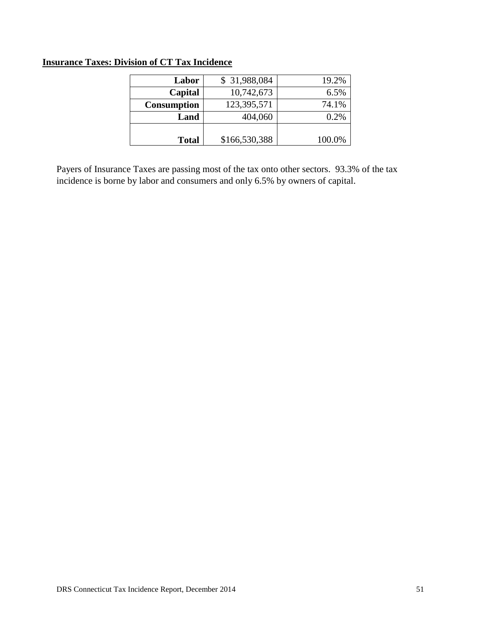### **Insurance Taxes: Division of CT Tax Incidence**

| Labor              | \$31,988,084  | 19.2%  |
|--------------------|---------------|--------|
| Capital            | 10,742,673    | 6.5%   |
| <b>Consumption</b> | 123,395,571   | 74.1%  |
| Land               | 404,060       | 0.2%   |
|                    |               |        |
| <b>Total</b>       | \$166,530,388 | 100.0% |

Payers of Insurance Taxes are passing most of the tax onto other sectors. 93.3% of the tax incidence is borne by labor and consumers and only 6.5% by owners of capital.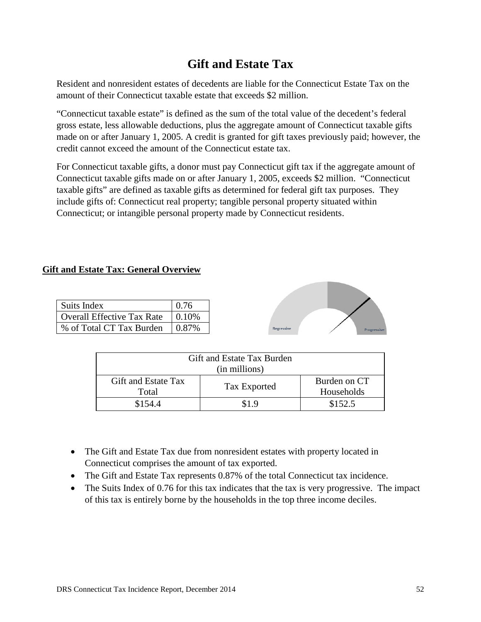### **Gift and Estate Tax**

Resident and nonresident estates of decedents are liable for the Connecticut Estate Tax on the amount of their Connecticut taxable estate that exceeds \$2 million.

"Connecticut taxable estate" is defined as the sum of the total value of the decedent's federal gross estate, less allowable deductions, plus the aggregate amount of Connecticut taxable gifts made on or after January 1, 2005. A credit is granted for gift taxes previously paid; however, the credit cannot exceed the amount of the Connecticut estate tax.

For Connecticut taxable gifts, a donor must pay Connecticut gift tax if the aggregate amount of Connecticut taxable gifts made on or after January 1, 2005, exceeds \$2 million. "Connecticut taxable gifts" are defined as taxable gifts as determined for federal gift tax purposes. They include gifts of: Connecticut real property; tangible personal property situated within Connecticut; or intangible personal property made by Connecticut residents.

### **Gift and Estate Tax: General Overview**

| Suits Index                       | 0.76      |
|-----------------------------------|-----------|
| <b>Overall Effective Tax Rate</b> | $ 0.10\%$ |
| % of Total CT Tax Burden          | $0.87\%$  |



| Gift and Estate Tax Burden<br>(in millions) |              |                            |  |  |
|---------------------------------------------|--------------|----------------------------|--|--|
| Gift and Estate Tax<br>Total                | Tax Exported | Burden on CT<br>Households |  |  |
| \$154.4                                     | S 1 9        | \$152.5                    |  |  |

- The Gift and Estate Tax due from nonresident estates with property located in Connecticut comprises the amount of tax exported.
- The Gift and Estate Tax represents 0.87% of the total Connecticut tax incidence.
- The Suits Index of 0.76 for this tax indicates that the tax is very progressive. The impact of this tax is entirely borne by the households in the top three income deciles.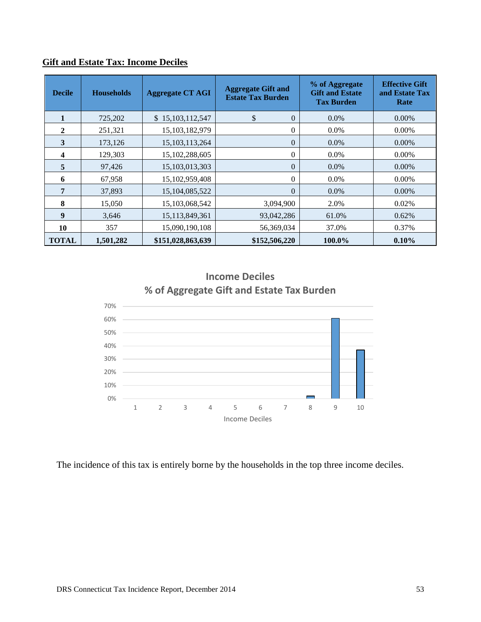| <b>Decile</b> | <b>Households</b> | <b>Aggregate CT AGI</b> | <b>Aggregate Gift and</b><br><b>Estate Tax Burden</b> | % of Aggregate<br><b>Gift and Estate</b><br><b>Tax Burden</b> | <b>Effective Gift</b><br>and Estate Tax<br>Rate |
|---------------|-------------------|-------------------------|-------------------------------------------------------|---------------------------------------------------------------|-------------------------------------------------|
|               | 725,202           | \$15,103,112,547        | \$<br>$\theta$                                        | $0.0\%$                                                       | $0.00\%$                                        |
| $\mathbf{2}$  | 251,321           | 15,103,182,979          | $\Omega$                                              | $0.0\%$                                                       | $0.00\%$                                        |
| 3             | 173,126           | 15, 103, 113, 264       | $\Omega$                                              | $0.0\%$                                                       | $0.00\%$                                        |
| 4             | 129,303           | 15,102,288,605          | $\theta$                                              | $0.0\%$                                                       | $0.00\%$                                        |
| 5             | 97,426            | 15, 103, 013, 303       | $\theta$                                              | $0.0\%$                                                       | $0.00\%$                                        |
| 6             | 67,958            | 15,102,959,408          | $\Omega$                                              | $0.0\%$                                                       | $0.00\%$                                        |
| 7             | 37,893            | 15,104,085,522          | $\overline{0}$                                        | 0.0%                                                          | 0.00%                                           |
| 8             | 15,050            | 15,103,068,542          | 3,094,900                                             | 2.0%                                                          | 0.02%                                           |
| 9             | 3,646             | 15,113,849,361          | 93,042,286                                            | 61.0%                                                         | 0.62%                                           |
| 10            | 357               | 15,090,190,108          | 56,369,034                                            | 37.0%                                                         | 0.37%                                           |
| <b>TOTAL</b>  | 1,501,282         | \$151,028,863,639       | \$152,506,220                                         | 100.0%                                                        | 0.10%                                           |

### **Gift and Estate Tax: Income Deciles**



### **Income Deciles % of Aggregate Gift and Estate Tax Burden**

The incidence of this tax is entirely borne by the households in the top three income deciles.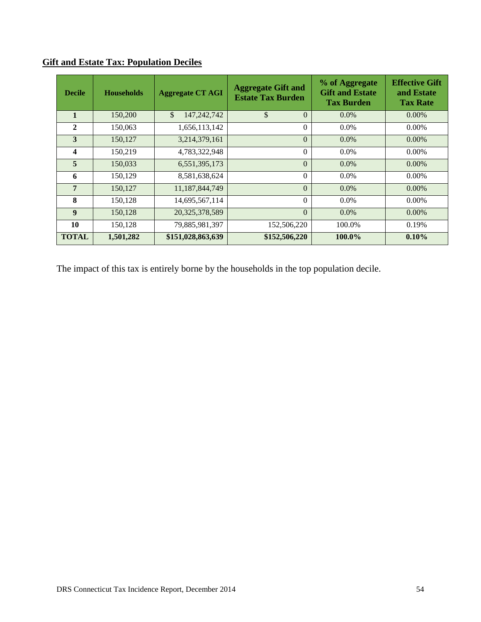| <b>Decile</b>           | <b>Households</b> | <b>Aggregate CT AGI</b> | <b>Aggregate Gift and</b><br><b>Estate Tax Burden</b> | % of Aggregate<br><b>Gift and Estate</b><br><b>Tax Burden</b> | <b>Effective Gift</b><br>and Estate<br><b>Tax Rate</b> |
|-------------------------|-------------------|-------------------------|-------------------------------------------------------|---------------------------------------------------------------|--------------------------------------------------------|
|                         | 150,200           | \$<br>147, 242, 742     | \$<br>$\Omega$                                        | $0.0\%$                                                       | $0.00\%$                                               |
| $\mathbf{2}$            | 150,063           | 1,656,113,142           | $\Omega$                                              | $0.0\%$                                                       | $0.00\%$                                               |
| 3                       | 150,127           | 3,214,379,161           | $\theta$                                              | $0.0\%$                                                       | $0.00\%$                                               |
| $\overline{\mathbf{4}}$ | 150,219           | 4,783,322,948           | $\Omega$                                              | $0.0\%$                                                       | $0.00\%$                                               |
| $\overline{5}$          | 150,033           | 6,551,395,173           | $\Omega$                                              | $0.0\%$                                                       | $0.00\%$                                               |
| 6                       | 150,129           | 8,581,638,624           | $\theta$                                              | $0.0\%$                                                       | $0.00\%$                                               |
| $\overline{7}$          | 150,127           | 11,187,844,749          | $\theta$                                              | $0.0\%$                                                       | $0.00\%$                                               |
| 8                       | 150,128           | 14,695,567,114          | $\Omega$                                              | $0.0\%$                                                       | $0.00\%$                                               |
| $\boldsymbol{9}$        | 150,128           | 20,325,378,589          | $\theta$                                              | $0.0\%$                                                       | $0.00\%$                                               |
| 10                      | 150,128           | 79,885,981,397          | 152,506,220                                           | 100.0%                                                        | 0.19%                                                  |
| <b>TOTAL</b>            | 1,501,282         | \$151,028,863,639       | \$152,506,220                                         | 100.0%                                                        | $0.10\%$                                               |

### **Gift and Estate Tax: Population Deciles**

The impact of this tax is entirely borne by the households in the top population decile.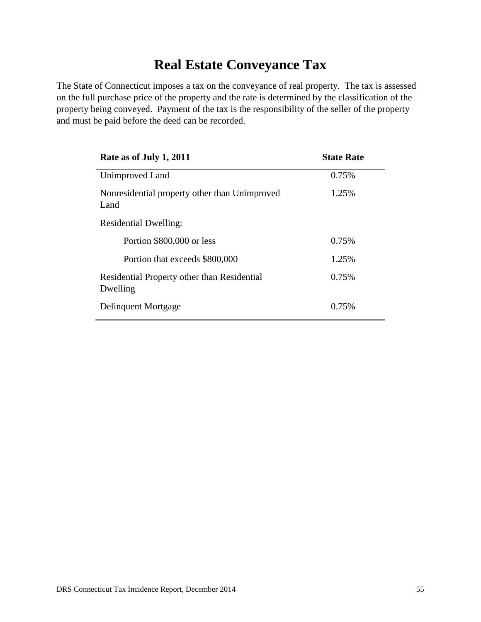### **Real Estate Conveyance Tax**

The State of Connecticut imposes a tax on the conveyance of real property. The tax is assessed on the full purchase price of the property and the rate is determined by the classification of the property being conveyed. Payment of the tax is the responsibility of the seller of the property and must be paid before the deed can be recorded.

| Rate as of July 1, 2011                                 | <b>State Rate</b> |
|---------------------------------------------------------|-------------------|
| Unimproved Land                                         | 0.75%             |
| Nonresidential property other than Unimproved<br>Land   | 1.25%             |
| <b>Residential Dwelling:</b>                            |                   |
| Portion \$800,000 or less                               | 0.75%             |
| Portion that exceeds \$800,000                          | 1.25%             |
| Residential Property other than Residential<br>Dwelling | 0.75%             |
| Delinquent Mortgage                                     | 0.75%             |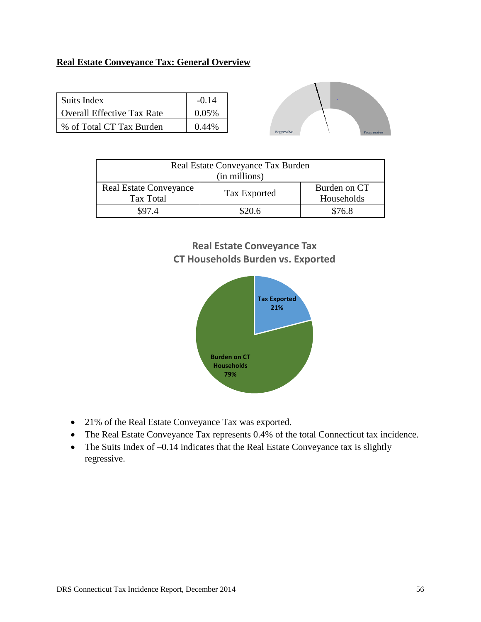### **Real Estate Conveyance Tax: General Overview**

| Suits Index                | $-0.14$  |
|----------------------------|----------|
| Overall Effective Tax Rate | 0.05%    |
| % of Total CT Tax Burden   | $0.44\%$ |



| Real Estate Conveyance Tax Burden<br>(in millions) |              |                            |  |
|----------------------------------------------------|--------------|----------------------------|--|
| <b>Real Estate Conveyance</b><br>Tax Total         | Tax Exported | Burden on CT<br>Households |  |
| \$97.4                                             | \$20.6       | \$76.8                     |  |

### **Real Estate Conveyance Tax CT Households Burden vs. Exported**



- 21% of the Real Estate Conveyance Tax was exported.
- The Real Estate Conveyance Tax represents 0.4% of the total Connecticut tax incidence.
- The Suits Index of -0.14 indicates that the Real Estate Conveyance tax is slightly regressive.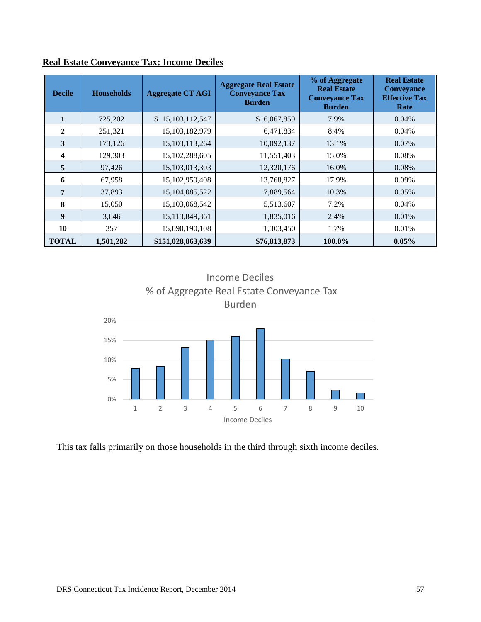| <b>Decile</b>    | <b>Households</b> | <b>Aggregate CT AGI</b> | <b>Aggregate Real Estate</b><br><b>Conveyance Tax</b><br><b>Burden</b> | % of Aggregate<br><b>Real Estate</b><br><b>Conveyance Tax</b><br><b>Burden</b> | <b>Real Estate</b><br><b>Conveyance</b><br><b>Effective Tax</b><br>Rate |
|------------------|-------------------|-------------------------|------------------------------------------------------------------------|--------------------------------------------------------------------------------|-------------------------------------------------------------------------|
|                  | 725,202           | \$15,103,112,547        | \$6,067,859                                                            | 7.9%                                                                           | 0.04%                                                                   |
| $\mathbf{2}$     | 251,321           | 15,103,182,979          | 6,471,834                                                              | 8.4%                                                                           | 0.04%                                                                   |
| 3                | 173,126           | 15, 103, 113, 264       | 10,092,137                                                             | 13.1%                                                                          | 0.07%                                                                   |
| 4                | 129,303           | 15, 102, 288, 605       | 11,551,403                                                             | 15.0%                                                                          | 0.08%                                                                   |
| 5                | 97,426            | 15, 103, 013, 303       | 12,320,176                                                             | 16.0%                                                                          | 0.08%                                                                   |
| 6                | 67,958            | 15,102,959,408          | 13,768,827                                                             | 17.9%                                                                          | 0.09%                                                                   |
| 7                | 37,893            | 15,104,085,522          | 7,889,564                                                              | 10.3%                                                                          | 0.05%                                                                   |
| 8                | 15,050            | 15,103,068,542          | 5,513,607                                                              | 7.2%                                                                           | 0.04%                                                                   |
| $\boldsymbol{9}$ | 3,646             | 15,113,849,361          | 1,835,016                                                              | 2.4%                                                                           | 0.01%                                                                   |
| 10               | 357               | 15,090,190,108          | 1,303,450                                                              | 1.7%                                                                           | 0.01%                                                                   |
| <b>TOTAL</b>     | 1,501,282         | \$151,028,863,639       | \$76,813,873                                                           | 100.0%                                                                         | 0.05%                                                                   |

### **Real Estate Conveyance Tax: Income Deciles**



This tax falls primarily on those households in the third through sixth income deciles.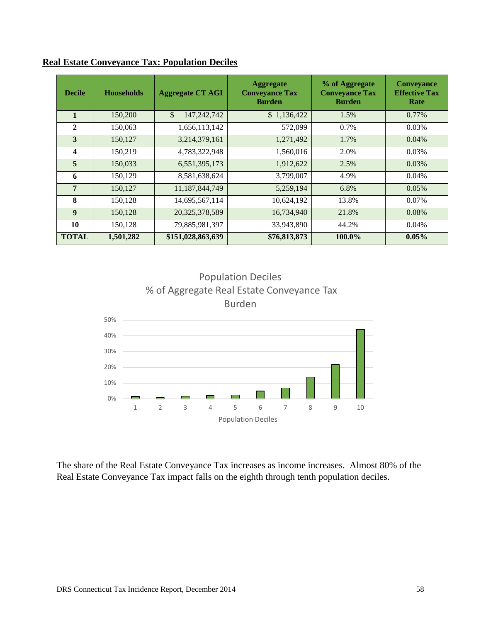| <b>Decile</b>           | <b>Households</b> | <b>Aggregate CT AGI</b> | <b>Aggregate</b><br><b>Conveyance Tax</b><br><b>Burden</b> | % of Aggregate<br><b>Conveyance Tax</b><br><b>Burden</b> | <b>Conveyance</b><br><b>Effective Tax</b><br>Rate |
|-------------------------|-------------------|-------------------------|------------------------------------------------------------|----------------------------------------------------------|---------------------------------------------------|
| $\mathbf{1}$            | 150,200           | \$<br>147, 242, 742     | \$1,136,422                                                | 1.5%                                                     | 0.77%                                             |
| $\mathbf{2}$            | 150,063           | 1,656,113,142           | 572,099                                                    | 0.7%                                                     | 0.03%                                             |
| 3                       | 150,127           | 3,214,379,161           | 1,271,492                                                  | 1.7%                                                     | 0.04%                                             |
| $\overline{\mathbf{4}}$ | 150,219           | 4,783,322,948           | 1,560,016                                                  | 2.0%                                                     | 0.03%                                             |
| 5                       | 150,033           | 6,551,395,173           | 1,912,622                                                  | 2.5%                                                     | 0.03%                                             |
| 6                       | 150,129           | 8,581,638,624           | 3,799,007                                                  | 4.9%                                                     | 0.04%                                             |
| $\overline{7}$          | 150,127           | 11,187,844,749          | 5,259,194                                                  | 6.8%                                                     | 0.05%                                             |
| 8                       | 150,128           | 14,695,567,114          | 10,624,192                                                 | 13.8%                                                    | 0.07%                                             |
| $\boldsymbol{9}$        | 150,128           | 20,325,378,589          | 16,734,940                                                 | 21.8%                                                    | 0.08%                                             |
| 10                      | 150,128           | 79,885,981,397          | 33,943,890                                                 | 44.2%                                                    | 0.04%                                             |
| <b>TOTAL</b>            | 1,501,282         | \$151,028,863,639       | \$76,813,873                                               | 100.0%                                                   | $0.05\%$                                          |

**Real Estate Conveyance Tax: Population Deciles**



The share of the Real Estate Conveyance Tax increases as income increases. Almost 80% of the Real Estate Conveyance Tax impact falls on the eighth through tenth population deciles.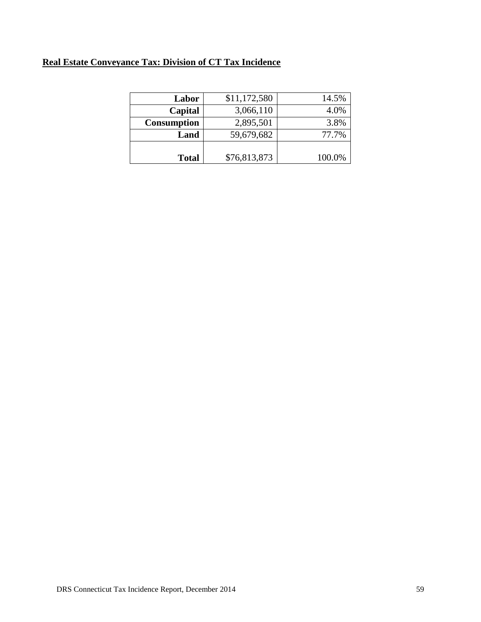### **Real Estate Conveyance Tax: Division of CT Tax Incidence**

| Labor              | \$11,172,580 | 14.5%  |
|--------------------|--------------|--------|
| Capital            | 3,066,110    | 4.0%   |
| <b>Consumption</b> | 2,895,501    | 3.8%   |
| Land               | 59,679,682   | 77.7%  |
|                    |              |        |
| <b>Total</b>       | \$76,813,873 | 100.0% |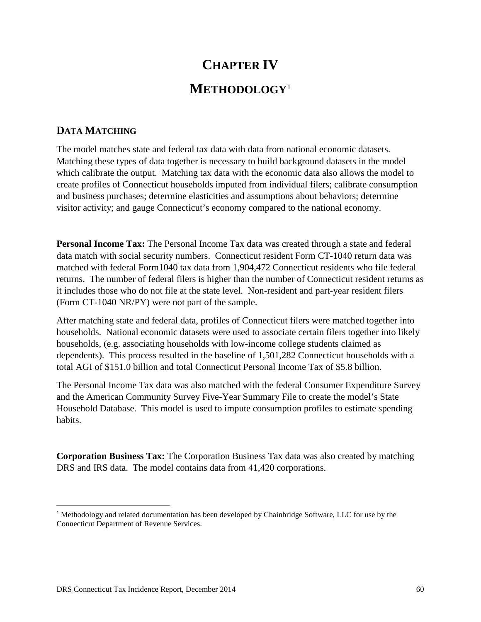# **CHAPTER IV METHODOLOGY**<sup>1</sup>

### **DATA MATCHING**

The model matches state and federal tax data with data from national economic datasets. Matching these types of data together is necessary to build background datasets in the model which calibrate the output. Matching tax data with the economic data also allows the model to create profiles of Connecticut households imputed from individual filers; calibrate consumption and business purchases; determine elasticities and assumptions about behaviors; determine visitor activity; and gauge Connecticut's economy compared to the national economy.

**Personal Income Tax:** The Personal Income Tax data was created through a state and federal data match with social security numbers. Connecticut resident Form CT-1040 return data was matched with federal Form1040 tax data from 1,904,472 Connecticut residents who file federal returns. The number of federal filers is higher than the number of Connecticut resident returns as it includes those who do not file at the state level. Non-resident and part-year resident filers (Form CT-1040 NR/PY) were not part of the sample.

After matching state and federal data, profiles of Connecticut filers were matched together into households. National economic datasets were used to associate certain filers together into likely households, (e.g. associating households with low-income college students claimed as dependents). This process resulted in the baseline of 1,501,282 Connecticut households with a total AGI of \$151.0 billion and total Connecticut Personal Income Tax of \$5.8 billion.

The Personal Income Tax data was also matched with the federal Consumer Expenditure Survey and the American Community Survey Five-Year Summary File to create the model's State Household Database. This model is used to impute consumption profiles to estimate spending habits.

**Corporation Business Tax:** The Corporation Business Tax data was also created by matching DRS and IRS data. The model contains data from 41,420 corporations.

l

<sup>1</sup> Methodology and related documentation has been developed by Chainbridge Software, LLC for use by the Connecticut Department of Revenue Services.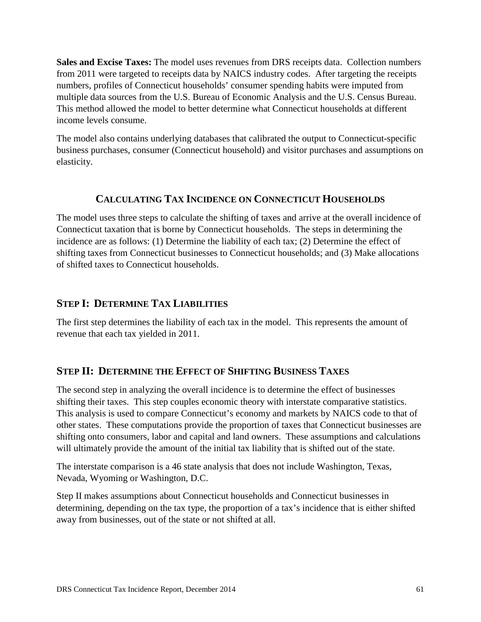**Sales and Excise Taxes:** The model uses revenues from DRS receipts data. Collection numbers from 2011 were targeted to receipts data by NAICS industry codes. After targeting the receipts numbers, profiles of Connecticut households' consumer spending habits were imputed from multiple data sources from the U.S. Bureau of Economic Analysis and the U.S. Census Bureau. This method allowed the model to better determine what Connecticut households at different income levels consume.

The model also contains underlying databases that calibrated the output to Connecticut-specific business purchases, consumer (Connecticut household) and visitor purchases and assumptions on elasticity.

### **CALCULATING TAX INCIDENCE ON CONNECTICUT HOUSEHOLDS**

The model uses three steps to calculate the shifting of taxes and arrive at the overall incidence of Connecticut taxation that is borne by Connecticut households. The steps in determining the incidence are as follows: (1) Determine the liability of each tax; (2) Determine the effect of shifting taxes from Connecticut businesses to Connecticut households; and (3) Make allocations of shifted taxes to Connecticut households.

### **STEP I: DETERMINE TAX LIABILITIES**

The first step determines the liability of each tax in the model. This represents the amount of revenue that each tax yielded in 2011.

### **STEP II: DETERMINE THE EFFECT OF SHIFTING BUSINESS TAXES**

The second step in analyzing the overall incidence is to determine the effect of businesses shifting their taxes. This step couples economic theory with interstate comparative statistics. This analysis is used to compare Connecticut's economy and markets by NAICS code to that of other states. These computations provide the proportion of taxes that Connecticut businesses are shifting onto consumers, labor and capital and land owners. These assumptions and calculations will ultimately provide the amount of the initial tax liability that is shifted out of the state.

The interstate comparison is a 46 state analysis that does not include Washington, Texas, Nevada, Wyoming or Washington, D.C.

Step II makes assumptions about Connecticut households and Connecticut businesses in determining, depending on the tax type, the proportion of a tax's incidence that is either shifted away from businesses, out of the state or not shifted at all.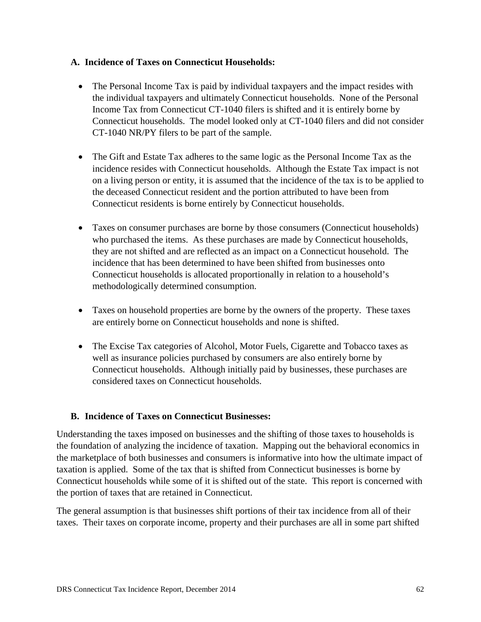### **A. Incidence of Taxes on Connecticut Households:**

- The Personal Income Tax is paid by individual taxpayers and the impact resides with the individual taxpayers and ultimately Connecticut households. None of the Personal Income Tax from Connecticut CT-1040 filers is shifted and it is entirely borne by Connecticut households. The model looked only at CT-1040 filers and did not consider CT-1040 NR/PY filers to be part of the sample.
- The Gift and Estate Tax adheres to the same logic as the Personal Income Tax as the incidence resides with Connecticut households. Although the Estate Tax impact is not on a living person or entity, it is assumed that the incidence of the tax is to be applied to the deceased Connecticut resident and the portion attributed to have been from Connecticut residents is borne entirely by Connecticut households.
- Taxes on consumer purchases are borne by those consumers (Connecticut households) who purchased the items. As these purchases are made by Connecticut households, they are not shifted and are reflected as an impact on a Connecticut household. The incidence that has been determined to have been shifted from businesses onto Connecticut households is allocated proportionally in relation to a household's methodologically determined consumption.
- Taxes on household properties are borne by the owners of the property. These taxes are entirely borne on Connecticut households and none is shifted.
- The Excise Tax categories of Alcohol, Motor Fuels, Cigarette and Tobacco taxes as well as insurance policies purchased by consumers are also entirely borne by Connecticut households. Although initially paid by businesses, these purchases are considered taxes on Connecticut households.

### **B. Incidence of Taxes on Connecticut Businesses:**

Understanding the taxes imposed on businesses and the shifting of those taxes to households is the foundation of analyzing the incidence of taxation. Mapping out the behavioral economics in the marketplace of both businesses and consumers is informative into how the ultimate impact of taxation is applied. Some of the tax that is shifted from Connecticut businesses is borne by Connecticut households while some of it is shifted out of the state. This report is concerned with the portion of taxes that are retained in Connecticut.

The general assumption is that businesses shift portions of their tax incidence from all of their taxes. Their taxes on corporate income, property and their purchases are all in some part shifted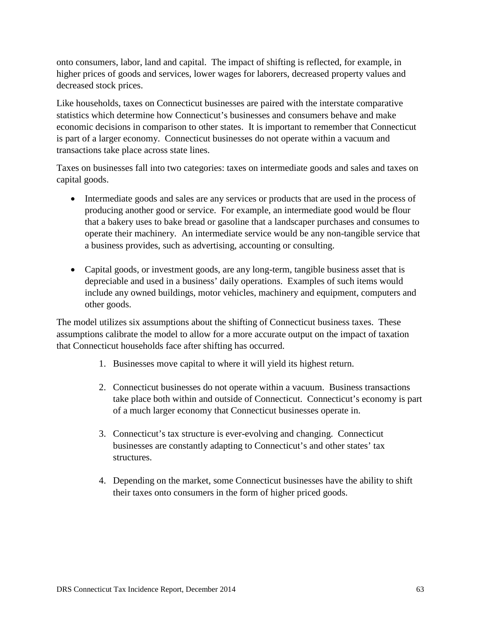onto consumers, labor, land and capital. The impact of shifting is reflected, for example, in higher prices of goods and services, lower wages for laborers, decreased property values and decreased stock prices.

Like households, taxes on Connecticut businesses are paired with the interstate comparative statistics which determine how Connecticut's businesses and consumers behave and make economic decisions in comparison to other states. It is important to remember that Connecticut is part of a larger economy. Connecticut businesses do not operate within a vacuum and transactions take place across state lines.

Taxes on businesses fall into two categories: taxes on intermediate goods and sales and taxes on capital goods.

- Intermediate goods and sales are any services or products that are used in the process of producing another good or service. For example, an intermediate good would be flour that a bakery uses to bake bread or gasoline that a landscaper purchases and consumes to operate their machinery. An intermediate service would be any non-tangible service that a business provides, such as advertising, accounting or consulting.
- Capital goods, or investment goods, are any long-term, tangible business asset that is depreciable and used in a business' daily operations. Examples of such items would include any owned buildings, motor vehicles, machinery and equipment, computers and other goods.

The model utilizes six assumptions about the shifting of Connecticut business taxes. These assumptions calibrate the model to allow for a more accurate output on the impact of taxation that Connecticut households face after shifting has occurred.

- 1. Businesses move capital to where it will yield its highest return.
- 2. Connecticut businesses do not operate within a vacuum. Business transactions take place both within and outside of Connecticut. Connecticut's economy is part of a much larger economy that Connecticut businesses operate in.
- 3. Connecticut's tax structure is ever-evolving and changing. Connecticut businesses are constantly adapting to Connecticut's and other states' tax structures.
- 4. Depending on the market, some Connecticut businesses have the ability to shift their taxes onto consumers in the form of higher priced goods.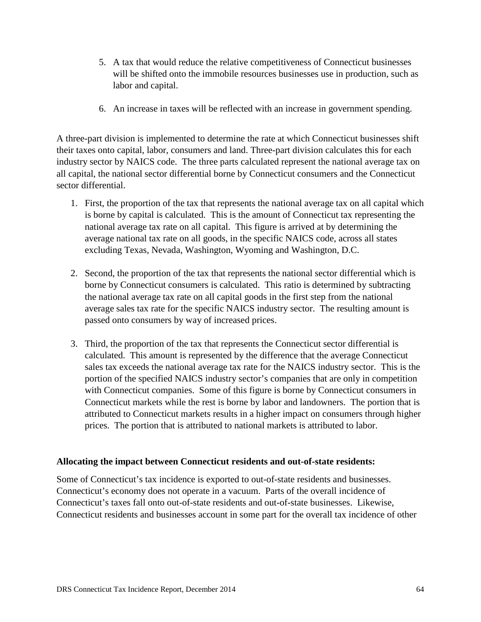- 5. A tax that would reduce the relative competitiveness of Connecticut businesses will be shifted onto the immobile resources businesses use in production, such as labor and capital.
- 6. An increase in taxes will be reflected with an increase in government spending.

A three-part division is implemented to determine the rate at which Connecticut businesses shift their taxes onto capital, labor, consumers and land. Three-part division calculates this for each industry sector by NAICS code. The three parts calculated represent the national average tax on all capital, the national sector differential borne by Connecticut consumers and the Connecticut sector differential.

- 1. First, the proportion of the tax that represents the national average tax on all capital which is borne by capital is calculated. This is the amount of Connecticut tax representing the national average tax rate on all capital. This figure is arrived at by determining the average national tax rate on all goods, in the specific NAICS code, across all states excluding Texas, Nevada, Washington, Wyoming and Washington, D.C.
- 2. Second, the proportion of the tax that represents the national sector differential which is borne by Connecticut consumers is calculated. This ratio is determined by subtracting the national average tax rate on all capital goods in the first step from the national average sales tax rate for the specific NAICS industry sector. The resulting amount is passed onto consumers by way of increased prices.
- 3. Third, the proportion of the tax that represents the Connecticut sector differential is calculated. This amount is represented by the difference that the average Connecticut sales tax exceeds the national average tax rate for the NAICS industry sector. This is the portion of the specified NAICS industry sector's companies that are only in competition with Connecticut companies. Some of this figure is borne by Connecticut consumers in Connecticut markets while the rest is borne by labor and landowners. The portion that is attributed to Connecticut markets results in a higher impact on consumers through higher prices. The portion that is attributed to national markets is attributed to labor.

#### **Allocating the impact between Connecticut residents and out-of-state residents:**

Some of Connecticut's tax incidence is exported to out-of-state residents and businesses. Connecticut's economy does not operate in a vacuum. Parts of the overall incidence of Connecticut's taxes fall onto out-of-state residents and out-of-state businesses. Likewise, Connecticut residents and businesses account in some part for the overall tax incidence of other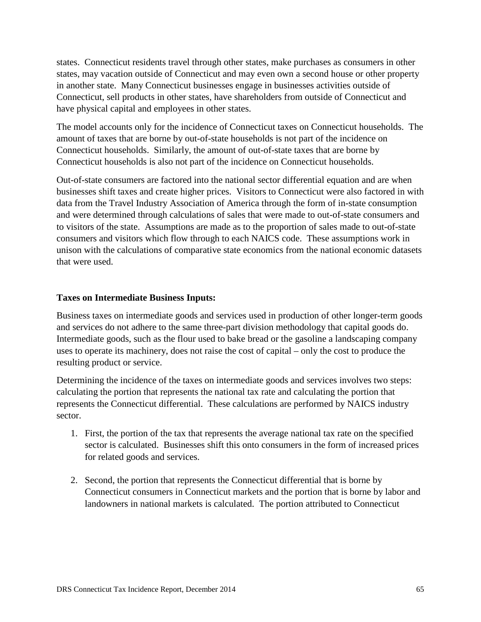states. Connecticut residents travel through other states, make purchases as consumers in other states, may vacation outside of Connecticut and may even own a second house or other property in another state. Many Connecticut businesses engage in businesses activities outside of Connecticut, sell products in other states, have shareholders from outside of Connecticut and have physical capital and employees in other states.

The model accounts only for the incidence of Connecticut taxes on Connecticut households. The amount of taxes that are borne by out-of-state households is not part of the incidence on Connecticut households. Similarly, the amount of out-of-state taxes that are borne by Connecticut households is also not part of the incidence on Connecticut households.

Out-of-state consumers are factored into the national sector differential equation and are when businesses shift taxes and create higher prices. Visitors to Connecticut were also factored in with data from the Travel Industry Association of America through the form of in-state consumption and were determined through calculations of sales that were made to out-of-state consumers and to visitors of the state. Assumptions are made as to the proportion of sales made to out-of-state consumers and visitors which flow through to each NAICS code. These assumptions work in unison with the calculations of comparative state economics from the national economic datasets that were used.

#### **Taxes on Intermediate Business Inputs:**

Business taxes on intermediate goods and services used in production of other longer-term goods and services do not adhere to the same three-part division methodology that capital goods do. Intermediate goods, such as the flour used to bake bread or the gasoline a landscaping company uses to operate its machinery, does not raise the cost of capital – only the cost to produce the resulting product or service.

Determining the incidence of the taxes on intermediate goods and services involves two steps: calculating the portion that represents the national tax rate and calculating the portion that represents the Connecticut differential. These calculations are performed by NAICS industry sector.

- 1. First, the portion of the tax that represents the average national tax rate on the specified sector is calculated. Businesses shift this onto consumers in the form of increased prices for related goods and services.
- 2. Second, the portion that represents the Connecticut differential that is borne by Connecticut consumers in Connecticut markets and the portion that is borne by labor and landowners in national markets is calculated. The portion attributed to Connecticut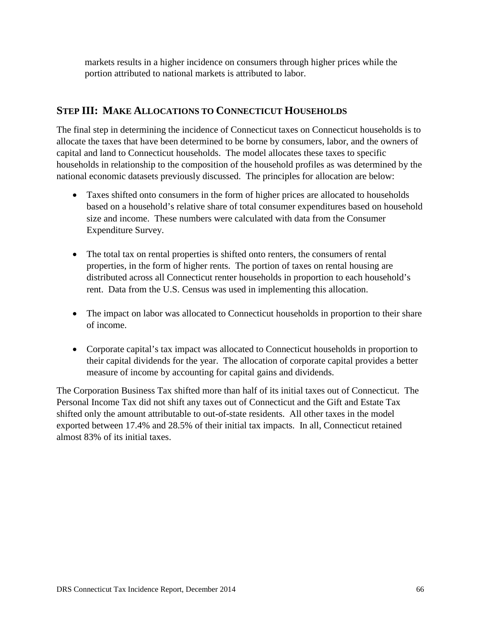markets results in a higher incidence on consumers through higher prices while the portion attributed to national markets is attributed to labor.

### **STEP III: MAKE ALLOCATIONS TO CONNECTICUT HOUSEHOLDS**

The final step in determining the incidence of Connecticut taxes on Connecticut households is to allocate the taxes that have been determined to be borne by consumers, labor, and the owners of capital and land to Connecticut households. The model allocates these taxes to specific households in relationship to the composition of the household profiles as was determined by the national economic datasets previously discussed. The principles for allocation are below:

- Taxes shifted onto consumers in the form of higher prices are allocated to households based on a household's relative share of total consumer expenditures based on household size and income. These numbers were calculated with data from the Consumer Expenditure Survey.
- The total tax on rental properties is shifted onto renters, the consumers of rental properties, in the form of higher rents. The portion of taxes on rental housing are distributed across all Connecticut renter households in proportion to each household's rent. Data from the U.S. Census was used in implementing this allocation.
- The impact on labor was allocated to Connecticut households in proportion to their share of income.
- Corporate capital's tax impact was allocated to Connecticut households in proportion to their capital dividends for the year. The allocation of corporate capital provides a better measure of income by accounting for capital gains and dividends.

The Corporation Business Tax shifted more than half of its initial taxes out of Connecticut. The Personal Income Tax did not shift any taxes out of Connecticut and the Gift and Estate Tax shifted only the amount attributable to out-of-state residents. All other taxes in the model exported between 17.4% and 28.5% of their initial tax impacts. In all, Connecticut retained almost 83% of its initial taxes.